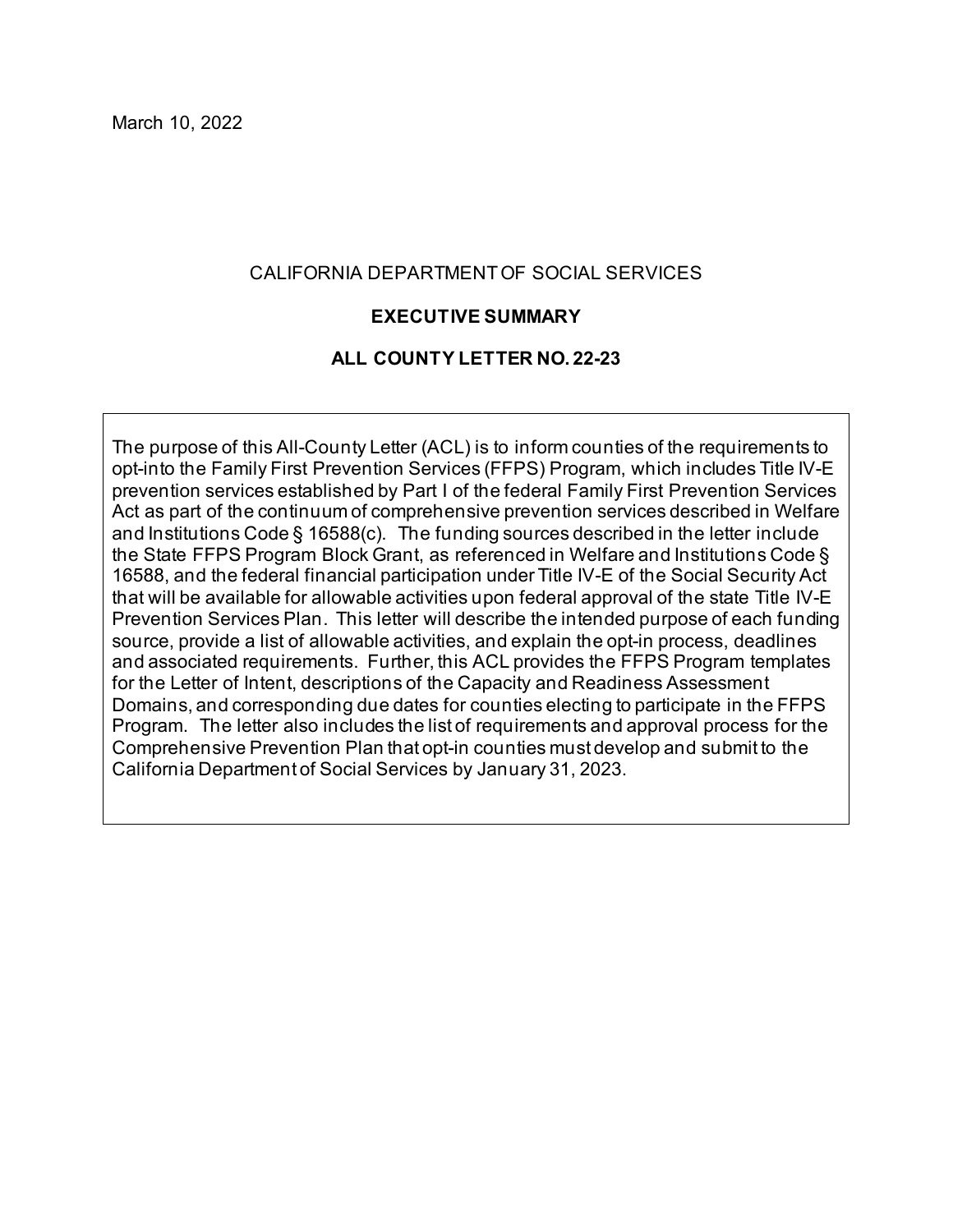#### CALIFORNIA DEPARTMENT OF SOCIAL SERVICES

#### **EXECUTIVE SUMMARY**

#### **ALL COUNTY LETTER NO. 22-23**

 The purpose of this All-County Letter (ACL) is to inform counties of the requirements to opt-into the Family First Prevention Services (FFPS) Program, which includes Title IV-E prevention services established by Part I of the federal Family First Prevention Services Act as part of the continuum of comprehensive prevention services described in Welfare and Institutions Code § 16588(c). The funding sources described in the letter include the State FFPS Program Block Grant, as referenced in Welfare and Institutions Code § 16588, and the federal financial participation under Title IV-E of the Social Security Act that will be available for allowable activities upon federal approval of the state Title IV-E Prevention Services Plan. This letter will describe the intended purpose of each funding source, provide a list of allowable activities, and explain the opt-in process, deadlines and associated requirements. Further, this ACL provides the FFPS Program templates for the Letter of Intent, descriptions of the Capacity and Readiness Assessment Domains, and corresponding due dates for counties electing to participate in the FFPS Program. The letter also includes the list of requirements and approval process for the Comprehensive Prevention Plan that opt-in counties must develop and submit to the California Department of Social Services by January 31, 2023.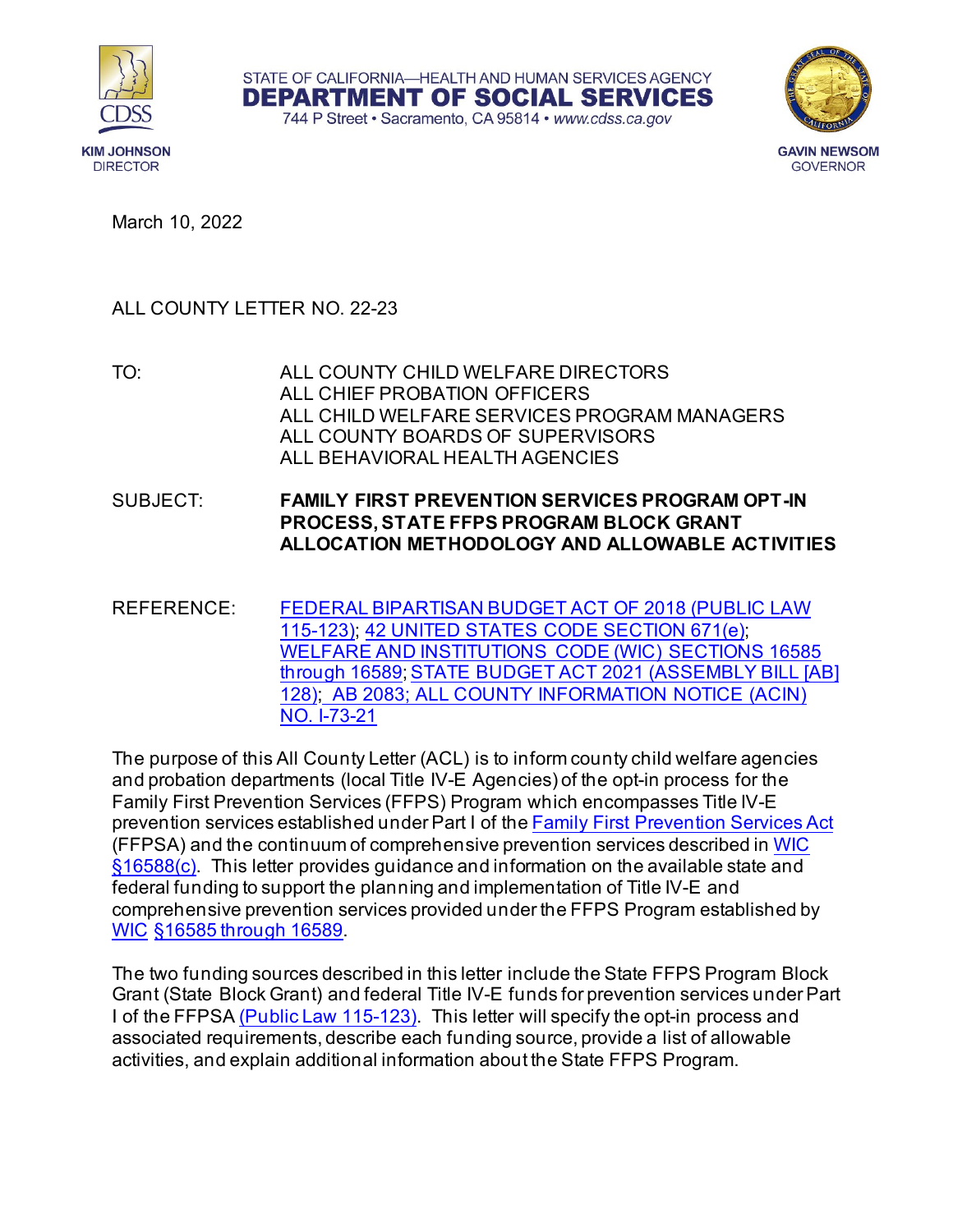





March 10, 2022

#### ALL COUNTY LETTER NO. 22-23

TO: ALL COUNTY CHILD WELFARE DIRECTORS ALL CHIEF PROBATION OFFICERS ALL CHILD WELFARE SERVICES PROGRAM MANAGERS ALL COUNTY BOARDS OF SUPERVISORS ALL BEHAVIORAL HEALTH AGENCIES

SUBJECT: **FAMILY FIRST PREVENTION SERVICES PROGRAM OPT-IN PROCESS, STATE FFPS PROGRAM BLOCK GRANT ALLOCATION METHODOLOGY AND ALLOWABLE ACTIVITIES** 

 [WELFARE AND INSTITUTIONS CODE \(WIC\) SECTIONS 16585](https://leginfo.legislature.ca.gov/faces/codes_displayText.xhtml?lawCode=WIC&division=9.&title=&part=4.&chapter=7.&article=)  <u>[through 16589;](https://leginfo.legislature.ca.gov/faces/codes_displayText.xhtml?lawCode=WIC&division=9.&title=&part=4.&chapter=7.&article=) [STATE BUDGET ACT 2021 \(ASSEMBLY BILL](https://leginfo.legislature.ca.gov/faces/billNavClient.xhtml?bill_id=202120220AB128) [AB]</u> [128\);](https://leginfo.legislature.ca.gov/faces/billNavClient.xhtml?bill_id=202120220AB128) [AB 2083;](https://www.chhs.ca.gov/home/system-of-care/) [ALL COUNTY INFORMATION NOTICE \(ACIN\)](https://www.cdss.ca.gov/Portals/9/Additional-Resources/Letters-and-Notices/ACINs/2021/I_73-21.pdf?ver=2021-09-09-152546-450)  REFERENCE: [FEDERAL BIPARTISAN BUDGET ACT OF 2018 \(PUBLIC LAW](https://www.congress.gov/bill/115th-congress/house-bill/1892/text)  [115-123\);](https://www.congress.gov/bill/115th-congress/house-bill/1892/text) [42 UNITED STATES CODE SECTION 671\(e\);](https://www.govinfo.gov/content/pkg/USCODE-2010-title42/pdf/USCODE-2010-title42-chap7-subchapIV-partE-sec671.pdf) [NO. I-73-21](https://www.cdss.ca.gov/Portals/9/Additional-Resources/Letters-and-Notices/ACINs/2021/I_73-21.pdf?ver=2021-09-09-152546-450) 

 The purpose of this All County Letter (ACL) is to inform county child welfare agencies and probation departments (local Title IV-E Agencies) of the opt-in process for the Family First Prevention Services (FFPS) Program which encompasses Title IV-E prevention services established under Part I of the <u>Family First Prevention Services Act</u> (FFPSA) and the continuum of comprehensive prevention services described in WIC §16588(c). This letter provides guidance and information on the available state and comprehensive prevention services provided under the FFPS Program established by federal funding to support the planning and implementation of Title IV-E and WIC [§16585 through 16589.](https://leginfo.legislature.ca.gov/faces/codes_displayText.xhtml?lawCode=WIC&division=9.&title=&part=4.&chapter=7.&article=)

 The two funding sources described in this letter include the State FFPS Program Block Grant (State Block Grant) and federal Title IV-E funds for prevention services under Part I of the FFPSA <u>(Public Law 115-123)</u> This letter will specify the opt-in process and associated requirements, describe each funding source, provide a list of allowable activities, and explain additional information about the State FFPS Program.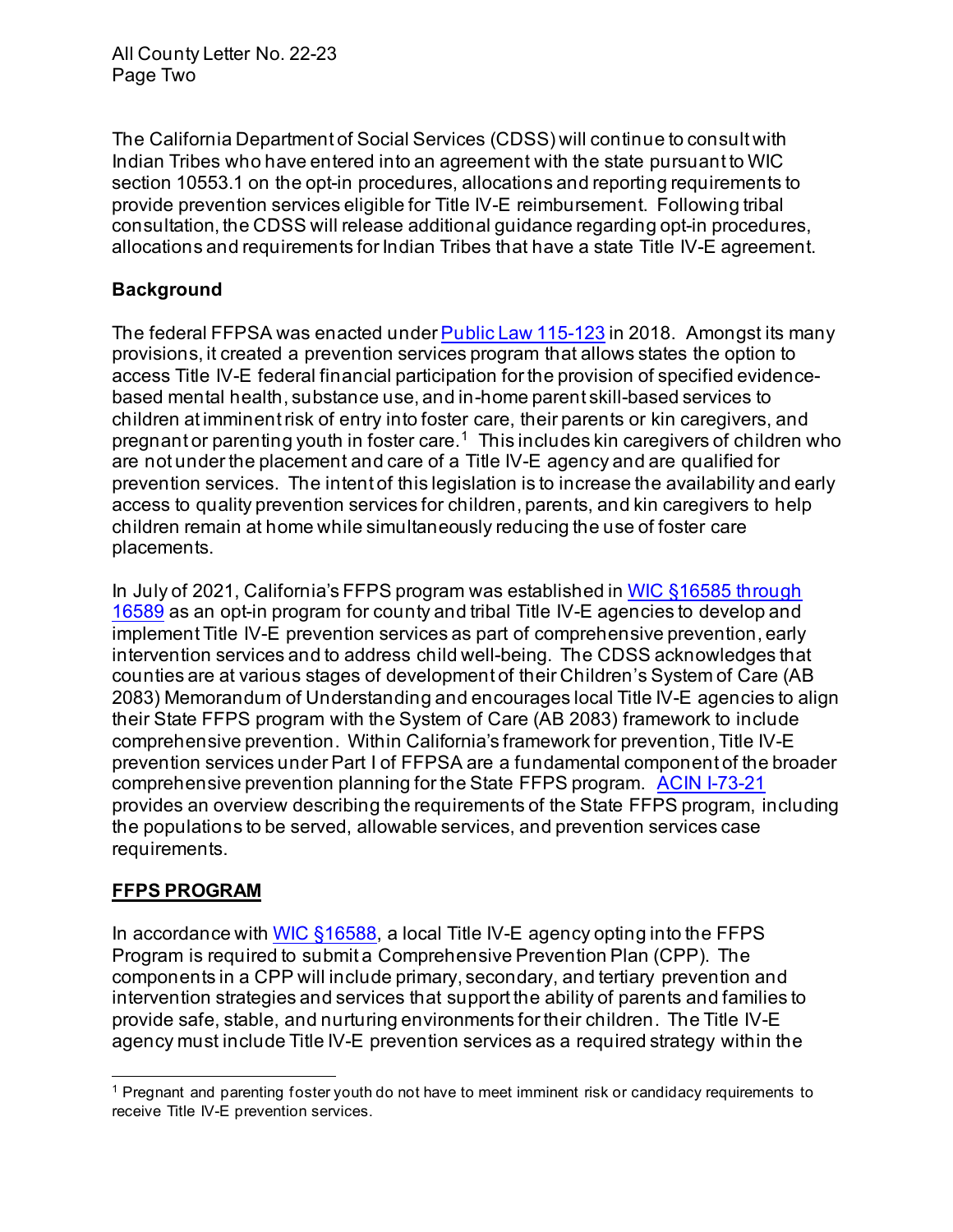The California Department of Social Services (CDSS) will continue to consult with Indian Tribes who have entered into an agreement with the state pursuant to WIC provide prevention services eligible for Title IV-E reimbursement. Following tribal consultation, the CDSS will release additional guidance regarding opt-in procedures, allocations and requirements for Indian Tribes that have a state Title IV-E agreement. section 10553.1 on the opt-in procedures, allocations and reporting requirements to

# **Background**

The federal FFPSA was enacted under <u>Public Law 115-123</u> in 2018. Amongst its many provisions, it created a prevention services program that allows states the option to access Title IV-E federal financial participation for the provision of specified evidence- based mental health, substance use, and in-home parent skill-based services to children at imminent risk of entry into foster care, their parents or kin caregivers, and pregnant or parenting youth in foster care. $^{\rm 1} \,$  This includes kin caregivers of children who are not under the placement and care of a Title IV-E agency and are qualified for prevention services. The intent of this legislation is to increase the availability and early access to quality prevention services for children, parents, and kin caregivers to help children remain at home while simultaneously reducing the use of foster care placements.

 In July of 2021, California's FFPS program was established in WIC §16585 through 16589 [as an opt-in program for county and tribal Title IV-E agencies to develop and](https://leginfo.legislature.ca.gov/faces/codes_displayText.xhtml?lawCode=WIC&division=9.&title=&part=4.&chapter=7.&article=) implement Title IV-E prevention services as part of comprehensive prevention, early intervention services and to address child well-being. The CDSS acknowledges that counties are at various stages of development of their Children's System of Care (AB 2083) Memorandum of Understanding and encourages local Title IV-E agencies to align their State FFPS program with the System of Care (AB 2083) framework to include comprehensive prevention. Within California's framework for prevention, Title IV-E prevention services under Part I of FFPSA are a fundamental component of the broader comprehensive prevention planning for the State FFPS program. ACIN I-73-21 provides an overview describing the requirements of the State FFPS program, including the populations to be served, allowable services, and prevention services case requirements.

# **FFPS PROGRAM**

In accordance with <u>WIC §16588</u>, a local Title IV-E agency opting into the FFPS Program is required to submit a Comprehensive Prevention Plan (CPP). The components in a CPP will include primary, secondary, and tertiary prevention and intervention strategies and services that support the ability of parents and families to provide safe, stable, and nurturing environments for their children. The Title IV-E agency must include Title IV-E prevention services as a required strategy within the

 $^{\rm 1}$  Pregnant and parenting foster youth do not have to meet imminent risk or candidacy requirements to receive Title IV-E prevention services.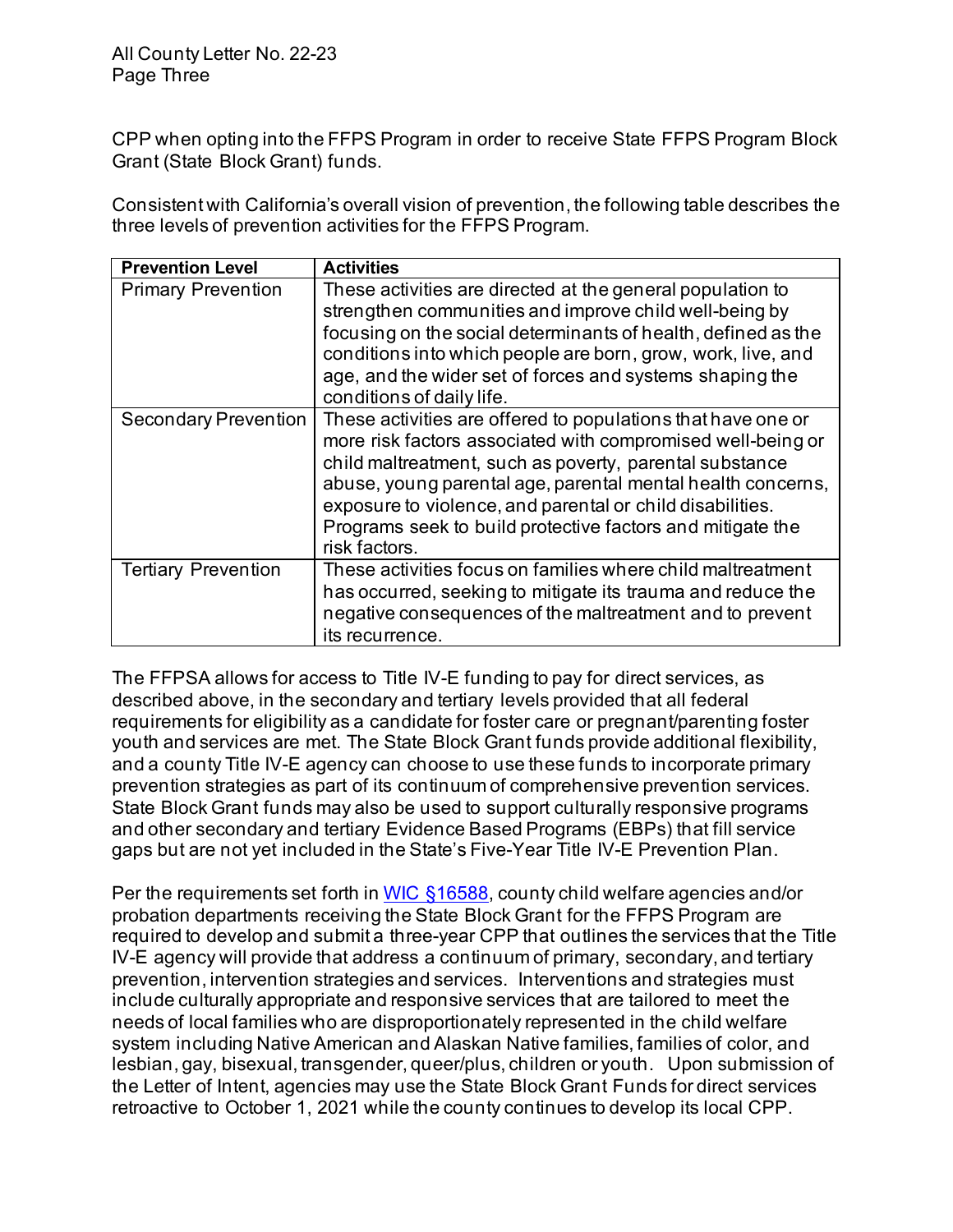CPP when opting into the FFPS Program in order to receive State FFPS Program Block Grant (State Block Grant) funds.

 Consistent with California's overall vision of prevention, the following table describes the three levels of prevention activities for the FFPS Program.

| <b>Prevention Level</b>     | <b>Activities</b>                                                                                                                                                                                                                                                                                                                                                                                 |
|-----------------------------|---------------------------------------------------------------------------------------------------------------------------------------------------------------------------------------------------------------------------------------------------------------------------------------------------------------------------------------------------------------------------------------------------|
| <b>Primary Prevention</b>   | These activities are directed at the general population to<br>strengthen communities and improve child well-being by<br>focusing on the social determinants of health, defined as the<br>conditions into which people are born, grow, work, live, and<br>age, and the wider set of forces and systems shaping the<br>conditions of daily life.                                                    |
| <b>Secondary Prevention</b> | These activities are offered to populations that have one or<br>more risk factors associated with compromised well-being or<br>child maltreatment, such as poverty, parental substance<br>abuse, young parental age, parental mental health concerns,<br>exposure to violence, and parental or child disabilities.<br>Programs seek to build protective factors and mitigate the<br>risk factors. |
| <b>Tertiary Prevention</b>  | These activities focus on families where child maltreatment<br>has occurred, seeking to mitigate its trauma and reduce the<br>negative consequences of the maltreatment and to prevent<br>its recurrence.                                                                                                                                                                                         |

 The FFPSA allows for access to Title IV-E funding to pay for direct services, as described above, in the secondary and tertiary levels provided that all federal requirements for eligibility as a candidate for foster care or pregnant/parenting foster and a county Title IV-E agency can choose to use these funds to incorporate primary prevention strategies as part of its continuum of comprehensive prevention services. State Block Grant funds may also be used to support culturally responsive programs and other secondary and tertiary Evidence Based Programs (EBPs) that fill service gaps but are not yet included in the State's Five-Year Title IV-E Prevention Plan. youth and services are met. The State Block Grant funds provide additional flexibility,

Per the requirements set forth in <u>WIC §16588</u>, county child welfare agencies and/or probation departments receiving the State Block Grant for the FFPS Program are required to develop and submit a three-year CPP that outlines the services that the Title IV-E agency will provide that address a continuum of primary, secondary, and tertiary prevention, intervention strategies and services. Interventions and strategies must include culturally appropriate and responsive services that are tailored to meet the needs of local families who are disproportionately represented in the child welfare system including Native American and Alaskan Native families, families of color, and lesbian, gay, bisexual, transgender, queer/plus, children or youth. Upon submission of the Letter of Intent, agencies may use the State Block Grant Funds for direct services retroactive to October 1, 2021 while the county continues to develop its local CPP.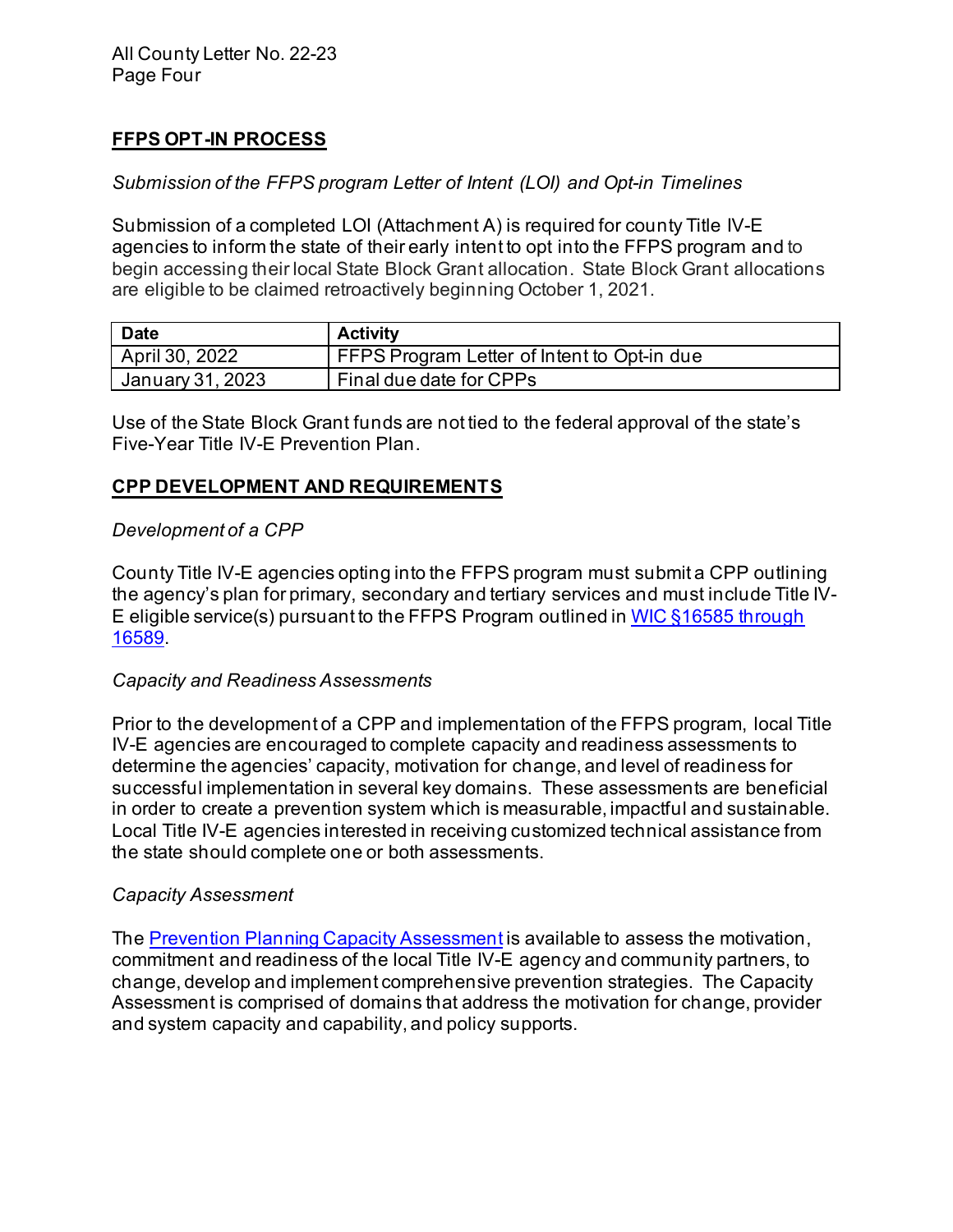## **FFPS OPT-IN PROCESS**

#### *Submission of the FFPS program Letter of Intent (LOI) and Opt-in Timelines*

 Submission of a completed LOI (Attachment A) is required for county Title IV-E agencies to inform the state of their early intent to opt into the FFPS program and to begin accessing their local State Block Grant allocation. State Block Grant allocations are eligible to be claimed retroactively beginning October 1, 2021.

| <b>Date</b>      | <b>Activity</b>                             |
|------------------|---------------------------------------------|
| April 30, 2022   | FFPS Program Letter of Intent to Opt-in due |
| January 31, 2023 | Final due date for CPPs                     |

 Use of the State Block Grant funds are not tied to the federal approval of the state's Five-Year Title IV-E Prevention Plan.

#### **CPP DEVELOPMENT AND REQUIREMENTS**

#### *Development of a CPP*

 the agency's plan for primary, secondary and tertiary services and must include Title IV-E eligible service(s) pursuant to the FFPS Program outlined in <u>WIC §16585 through</u> 16589. County Title IV-E agencies opting into the FFPS program must submit a CPP outlining

#### *Capacity and Readiness Assessments*

 Prior to the development of a CPP and implementation of the FFPS program, local Title determine the agencies' capacity, motivation for change, and level of readiness for successful implementation in several key domains. These assessments are beneficial in order to create a prevention system which is measurable, impactful and sustainable. Local Title IV-E agencies interested in receiving customized technical assistance from the state should complete one or both assessments. IV-E agencies are encouraged to complete capacity and readiness assessments to

#### *Capacity Assessment*

The <u>Prevention Planning Capacity Assessment</u> is available to assess the motivation, commitment and readiness of the local Title IV-E agency and community partners, to change, develop and implement comprehensive prevention strategies. The Capacity Assessment is comprised of domains that address the motivation for change, provider and system capacity and capability, and policy supports.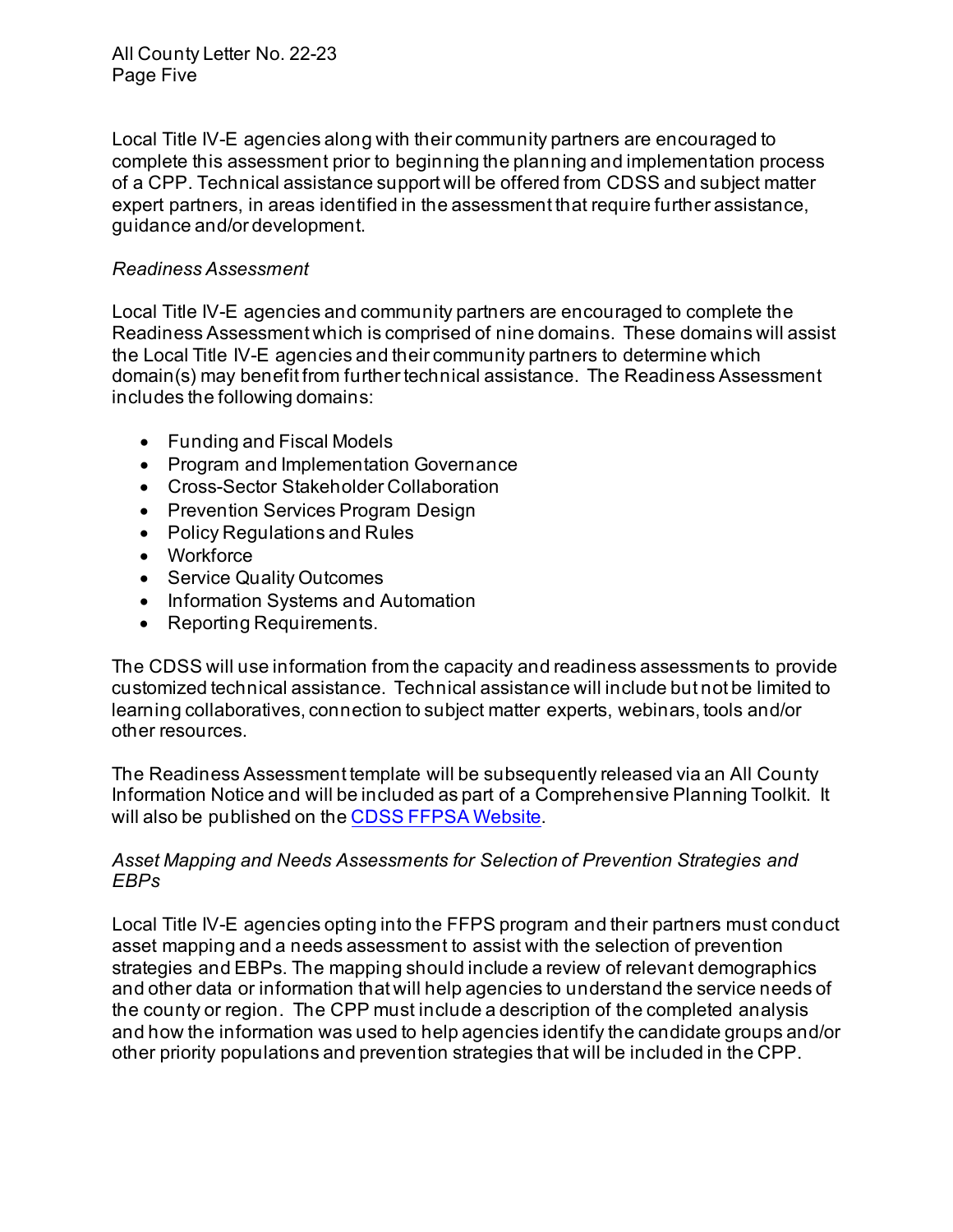Local Title IV-E agencies along with their community partners are encouraged to of a CPP. Technical assistance support will be offered from CDSS and subject matter expert partners, in areas identified in the assessment that require further assistance, complete this assessment prior to beginning the planning and implementation process guidance and/or development.

#### *Readiness Assessment*

 Local Title IV-E agencies and community partners are encouraged to complete the Readiness Assessment which is comprised of nine domains. These domains will assist the Local Title IV-E agencies and their community partners to determine which domain(s) may benefit from further technical assistance. The Readiness Assessment includes the following domains:

- Funding and Fiscal Models
- Program and Implementation Governance
- Cross-Sector Stakeholder Collaboration
- Prevention Services Program Design
- Policy Regulations and Rules
- Workforce
- Service Quality Outcomes
- Information Systems and Automation
- Reporting Requirements.

 The CDSS will use information from the capacity and readiness assessments to provide customized technical assistance. Technical assistance will include but not be limited to learning collaboratives, connection to subject matter experts, webinars, tools and/or other resources.

 Information Notice and will be included as part of a Comprehensive Planning Toolkit. It will also be published on the <u>CDSS FFPSA Website</u>. The Readiness Assessment template will be subsequently released via an All County

#### *Asset Mapping and Needs Assessments for Selection of Prevention Strategies and EBPs*

 Local Title IV-E agencies opting into the FFPS program and their partners must conduct asset mapping and a needs assessment to assist with the selection of prevention strategies and EBPs. The mapping should include a review of relevant demographics and other data or information that will help agencies to understand the service needs of the county or region. The CPP must include a description of the completed analysis and how the information was used to help agencies identify the candidate groups and/or other priority populations and prevention strategies that will be included in the CPP.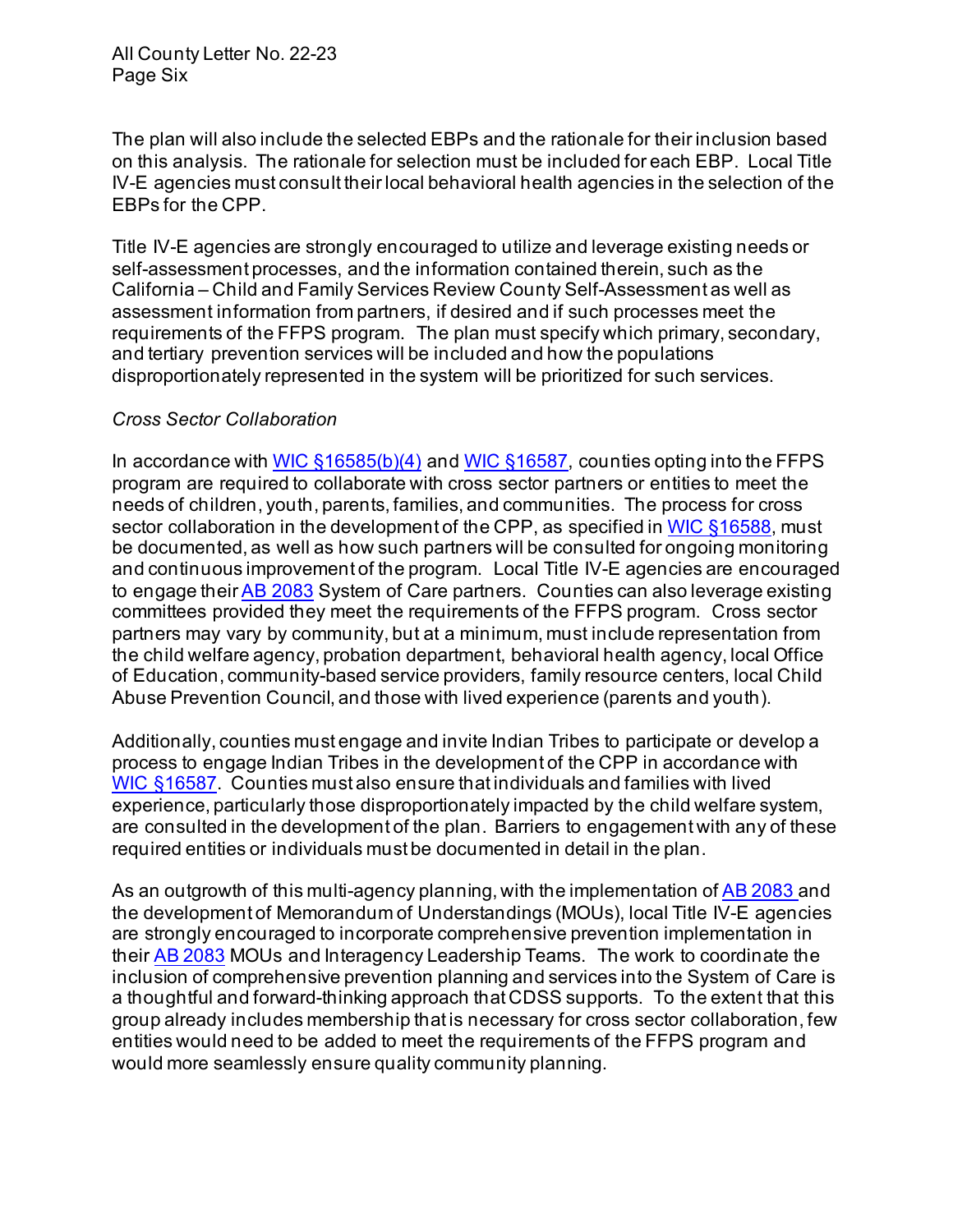The plan will also include the selected EBPs and the rationale for their inclusion based on this analysis. The rationale for selection must be included for each EBP. Local Title IV-E agencies must consult their local behavioral health agencies in the selection of the EBPs for the CPP.

 Title IV-E agencies are strongly encouraged to utilize and leverage existing needs or self-assessment processes, and the information contained therein, such as the California – Child and Family Services Review County Self-Assessment as well as assessment information from partners, if desired and if such processes meet the requirements of the FFPS program. The plan must specify which primary, secondary, disproportionately represented in the system will be prioritized for such services. and tertiary prevention services will be included and how the populations

#### *Cross Sector Collaboration*

 program are required to collaborate with cross sector partners or entities to meet the needs of children, youth, parents, families, and communities. The process for cross sector collaboration in the development of the CPP, as specified in <u>WIC §16588</u>, must be documented, as well as how such partners will be consulted for ongoing monitoring and continuous improvement of the program. Local Title IV-E agencies are encouraged to engage their <u>AB 2083</u> System of Care partners. Counties can also leverage existing committees provided they meet the requirements of the FFPS program. Cross sector partners may vary by community, but at a minimum, must include representation from the child welfare agency, probation department, behavioral health agency, local Office of Education, community-based service providers, family resource centers, local Child Abuse Prevention Council, and those with lived experience (parents and youth). In accordance with WIC  $$16585(b)(4)$  and WIC  $$16587$ , counties opting into the FFPS

 Additionally, counties must engage and invite Indian Tribes to participate or develop a process to engage Indian Tribes in the development of the CPP in accordance with [WIC §16587.](https://leginfo.legislature.ca.gov/faces/codes_displaySection.xhtml?sectionNum=16587.&nodeTreePath=16.11.16&lawCode=WIC) Counties must also ensure that individuals and families with lived are consulted in the development of the plan. Barriers to engagement with any of these required entities or individuals must be documented in detail in the plan. experience, particularly those disproportionately impacted by the child welfare system,

As an outgrowth of this multi-agency planning, with the implementation of <u>AB 2083 a</u>nd the development of Memorandum of Understandings (MOUs), local Title IV-E agencies their <u>AB 2083</u> MOUs and Interagency Leadership Teams. The work to coordinate the inclusion of comprehensive prevention planning and services into the System of Care is a thoughtful and forward-thinking approach that CDSS supports. To the extent that this group already includes membership that is necessary for cross sector collaboration, few would more seamlessly ensure quality community planning. are strongly encouraged to incorporate comprehensive prevention implementation in entities would need to be added to meet the requirements of the FFPS program and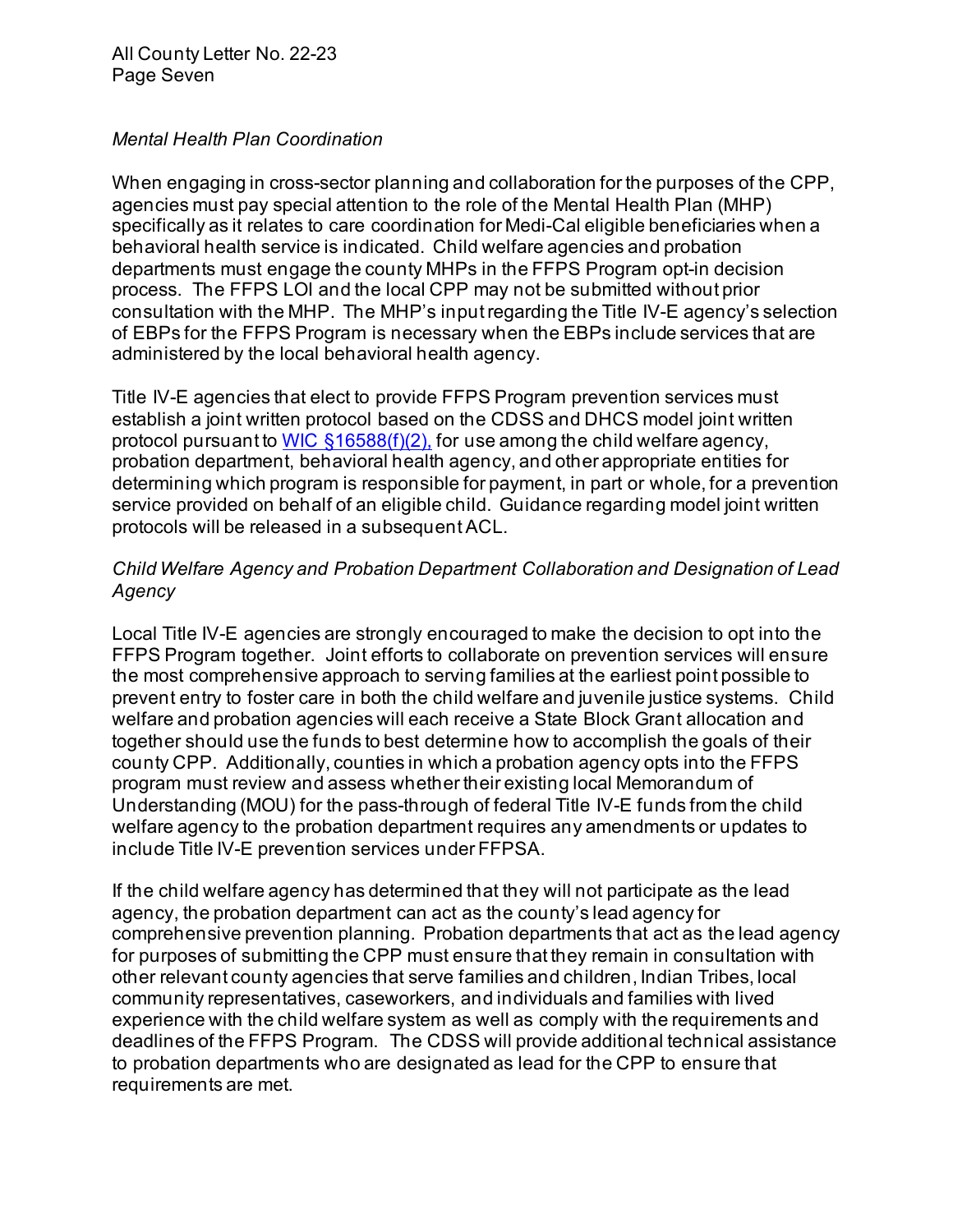#### *Mental Health Plan Coordination*

 When engaging in cross-sector planning and collaboration for the purposes of the CPP, agencies must pay special attention to the role of the Mental Health Plan (MHP) specifically as it relates to care coordination for Medi-Cal eligible beneficiaries when a behavioral health service is indicated. Child welfare agencies and probation departments must engage the county MHPs in the FFPS Program opt-in decision process. The FFPS LOI and the local CPP may not be submitted without prior consultation with the MHP. The MHP's inputregarding the Title IV-E agency's selection of EBPs for the FFPS Program is necessary when the EBPs include services that are administered by the local behavioral health agency.

 Title IV-E agencies that elect to provide FFPS Program prevention services must establish a joint written protocol based on the CDSS and DHCS model joint written probation department, behavioral health agency, and other appropriate entities for determining which program is responsible for payment, in part or whole, for a prevention service provided on behalf of an eligible child. Guidance regarding model joint written protocol pursuant to WIC  $\S$ 16588(f)(2), for use among the child welfare agency, protocols will be released in a subsequent ACL.

#### *Child Welfare Agency and Probation Department Collaboration and Designation of Lead Agency*

 Local Title IV-E agencies are strongly encouraged to make the decision to opt into the FFPS Program together. Joint efforts to collaborate on prevention services will ensure the most comprehensive approach to serving families at the earliest point possible to prevent entry to foster care in both the child welfare and juvenile justice systems. Child welfare and probation agencies will each receive a State Block Grant allocation and together should use the funds to best determine how to accomplish the goals of their county CPP. Additionally, counties in which a probation agency opts into the FFPS Understanding (MOU) for the pass-through of federal Title IV-E funds from the child welfare agency to the probation department requires any amendments or updates to include Title IV-E prevention services under FFPSA. program must review and assess whether their existing local Memorandum of

 If the child welfare agency has determined that they will not participate as the lead agency, the probation department can act as the county's lead agency for comprehensive prevention planning. Probation departments that act as the lead agency for purposes of submitting the CPP must ensure that they remain in consultation with other relevant county agencies that serve families and children, Indian Tribes, local community representatives, caseworkers, and individuals and families with lived experience with the child welfare system as well as comply with the requirements and deadlines of the FFPS Program. The CDSS will provide additional technical assistance requirements are met. to probation departments who are designated as lead for the CPP to ensure that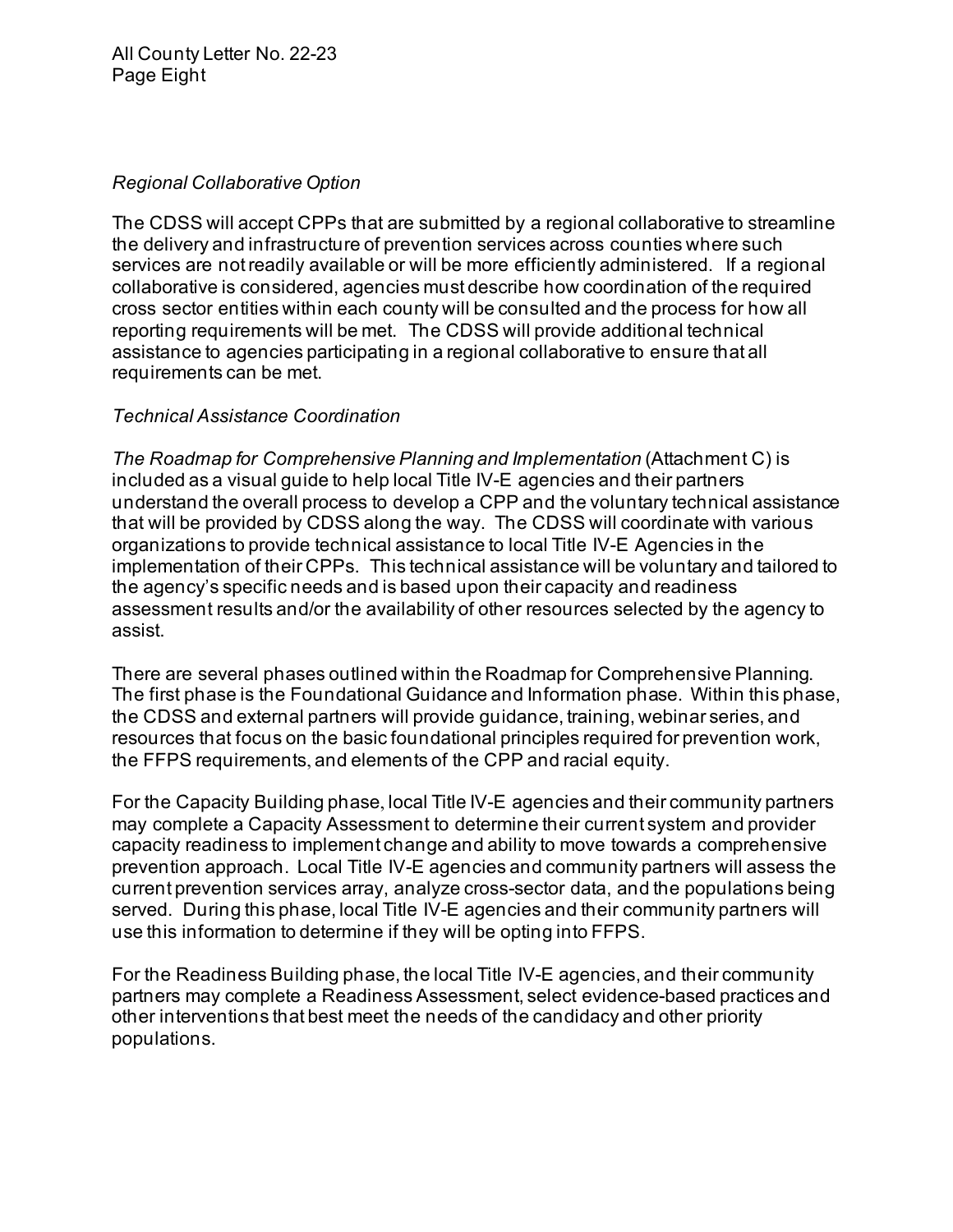#### *Regional Collaborative Option*

 The CDSS will accept CPPs that are submitted by a regional collaborative to streamline the delivery and infrastructure of prevention services across counties where such services are not readily available or will be more efficiently administered. If a regional collaborative is considered, agencies must describe how coordination of the required cross sector entities within each county will be consulted and the process for how all reporting requirements will be met. The CDSS will provide additional technical assistance to agencies participating in a regional collaborative to ensure that all requirements can be met.

#### **Technical Assistance Coordination**

 included as a visual guide to help local Title IV-E agencies and their partners understand the overall process to develop a CPP and the voluntary technical assistance that will be provided by CDSS along the way. The CDSS will coordinate with various organizations to provide technical assistance to local Title IV-E Agencies in the implementation of their CPPs. This technical assistance will be voluntary and tailored to the agency's specific needs and is based upon their capacity and readiness assessment results and/or the availability of other resources selected by the agency to assist. *The Roadmap for Comprehensive Planning and Implementation (Attachment C) is* 

 The first phase is the Foundational Guidance and Information phase. Within this phase, the CDSS and external partners will provide guidance, training, webinar series, and resources that focus on the basic foundational principles required for prevention work, the FFPS requirements, and elements of the CPP and racial equity. There are several phases outlined within the Roadmap for Comprehensive Planning.

 For the Capacity Building phase, local Title IV-E agencies and their community partners may complete a Capacity Assessment to determine their current system and provider prevention approach. Local Title IV-E agencies and community partners will assess the current prevention services array, analyze cross-sector data, and the populations being served. During this phase, local Title IV-E agencies and their community partners will use this information to determine if they will be opting into FFPS. capacity readiness to implement change and ability to move towards a comprehensive

 For the Readiness Building phase, the local Title IV-E agencies, and their community partners may complete a Readiness Assessment, select evidence-based practices and other interventions that best meet the needs of the candidacy and other priority populations.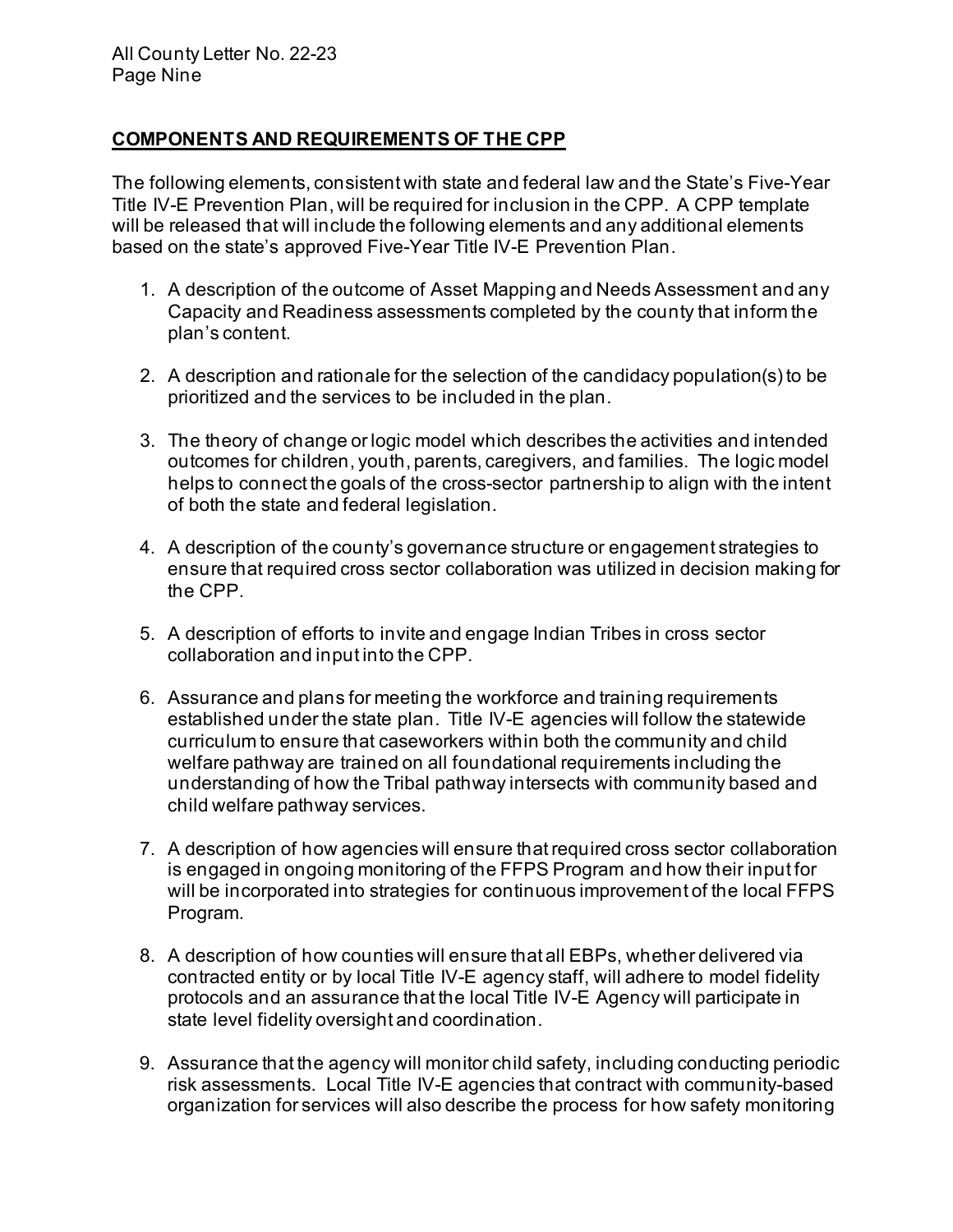#### **COMPONENTS AND REQUIREMENTS OF THE CPP**

 The following elements, consistent with state and federal law and the State's Five-Year will be released that will include the following elements and any additional elements based on the state's approved Five-Year Title IV-E Prevention Plan. Title IV-E Prevention Plan, will be required for inclusion in the CPP. A CPP template

- 1. A description of the outcome of Asset Mapping and Needs Assessment and any Capacity and Readiness assessments completed by the county that inform the plan's content.
- 2. A description and rationale for the selection of the candidacy population(s) to be prioritized and the services to be included in the plan.
- 3. The theory of change or logic model which describes the activities and intended outcomes for children, youth, parents, caregivers, and families. The logic model helps to connect the goals of the cross-sector partnership to align with the intent of both the state and federal legislation.
- 4. A description of the county's governance structure or engagement strategies to ensure that required cross sector collaboration was utilized in decision making for the CPP.
- 5. A description of efforts to invite and engage Indian Tribes in cross sector collaboration and input into the CPP.
- 6. Assurance and plans for meeting the workforce and training requirements established under the state plan. Title IV-E agencies will follow the statewide curriculum to ensure that caseworkers within both the community and child welfare pathway are trained on all foundational requirements including the understanding of how the Tribal pathway intersects with community based and child welfare pathway services.
- 7. A description of how agencies will ensure that required cross sector collaboration is engaged in ongoing monitoring of the FFPS Program and how their input for will be incorporated into strategies for continuous improvement of the local FFPS Program.
- Program. 8. A description of how counties will ensure that all EBPs, whether delivered via contracted entity or by local Title IV-E agency staff, will adhere to model fidelity protocols and an assurance that the local Title IV-E Agency will participate in state level fidelity oversight and coordination.
- state level fidelity oversight and coordination. 9. Assurance that the agency will monitor child safety, including conducting periodic risk assessments. Local Title IV-E agencies that contract with community-based organization for services will also describe the process for how safety monitoring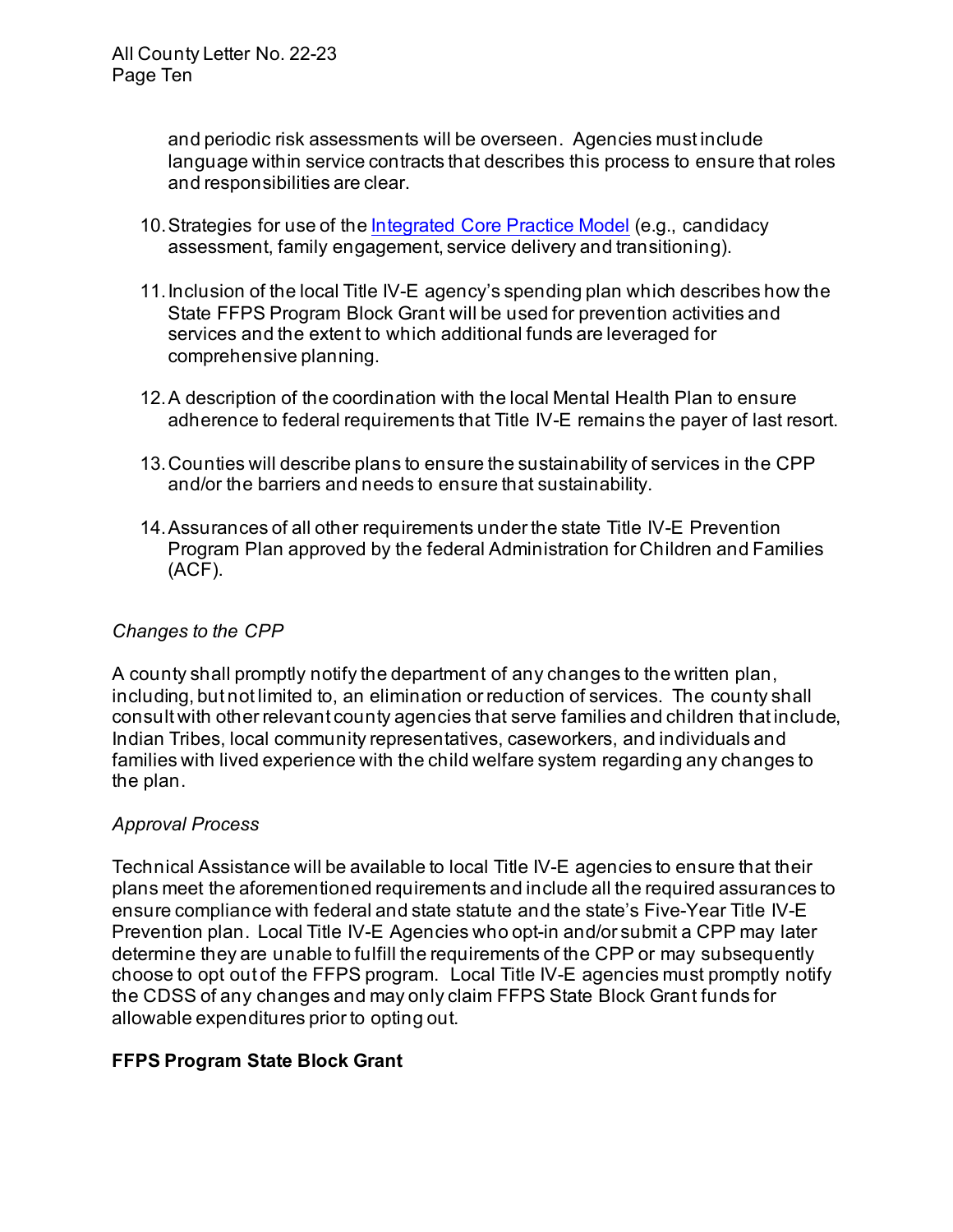and responsibilities are clear. and periodic risk assessments will be overseen. Agencies must include language within service contracts that describes this process to ensure that roles

- assessment, family engagement, service delivery and transitioning). 10.Strategies for use of th[e Integrated Core Practice Model](https://www.cdss.ca.gov/inforesources/the-integrated-core-practice-model/about-icpm) (e.g., candidacy
- 11.Inclusion of the local Title IV-E agency's spending plan which describes how the State FFPS Program Block Grant will be used for prevention activities and services and the extent to which additional funds are leveraged for comprehensive planning.
- 12.A description of the coordination with the local Mental Health Plan to ensure adherence to federal requirements that Title IV-E remains the payer of last resort.
- 13.Counties will describe plans to ensure the sustainability of services in the CPP and/or the barriers and needs to ensure that sustainability.
- 14.Assurances of all other requirements under the state Title IV-E Prevention Program Plan approved by the federal Administration for Children and Families (ACF).

#### *Changes to the CPP*

 A county shall promptly notify the department of any changes to the written plan, including, but not limited to, an elimination or reduction of services. The county shall consult with other relevant county agencies that serve families and children that include, Indian Tribes, local community representatives, caseworkers, and individuals and families with lived experience with the child welfare system regarding any changes to the plan.

#### *Approval Process*

 Technical Assistance will be available to local Title IV-E agencies to ensure that their plans meet the aforementioned requirements and include all the required assurances to ensure compliance with federal and state statute and the state's Five-Year Title IV-E Prevention plan. Local Title IV-E Agencies who opt-in and/or submit a CPP may later determine they are unable to fulfill the requirements of the CPP or may subsequently choose to opt out of the FFPS program. Local Title IV-E agencies must promptly notify the CDSS of any changes and may only claim FFPS State Block Grant funds for allowable expenditures prior to opting out.

#### **FFPS Program State Block Grant**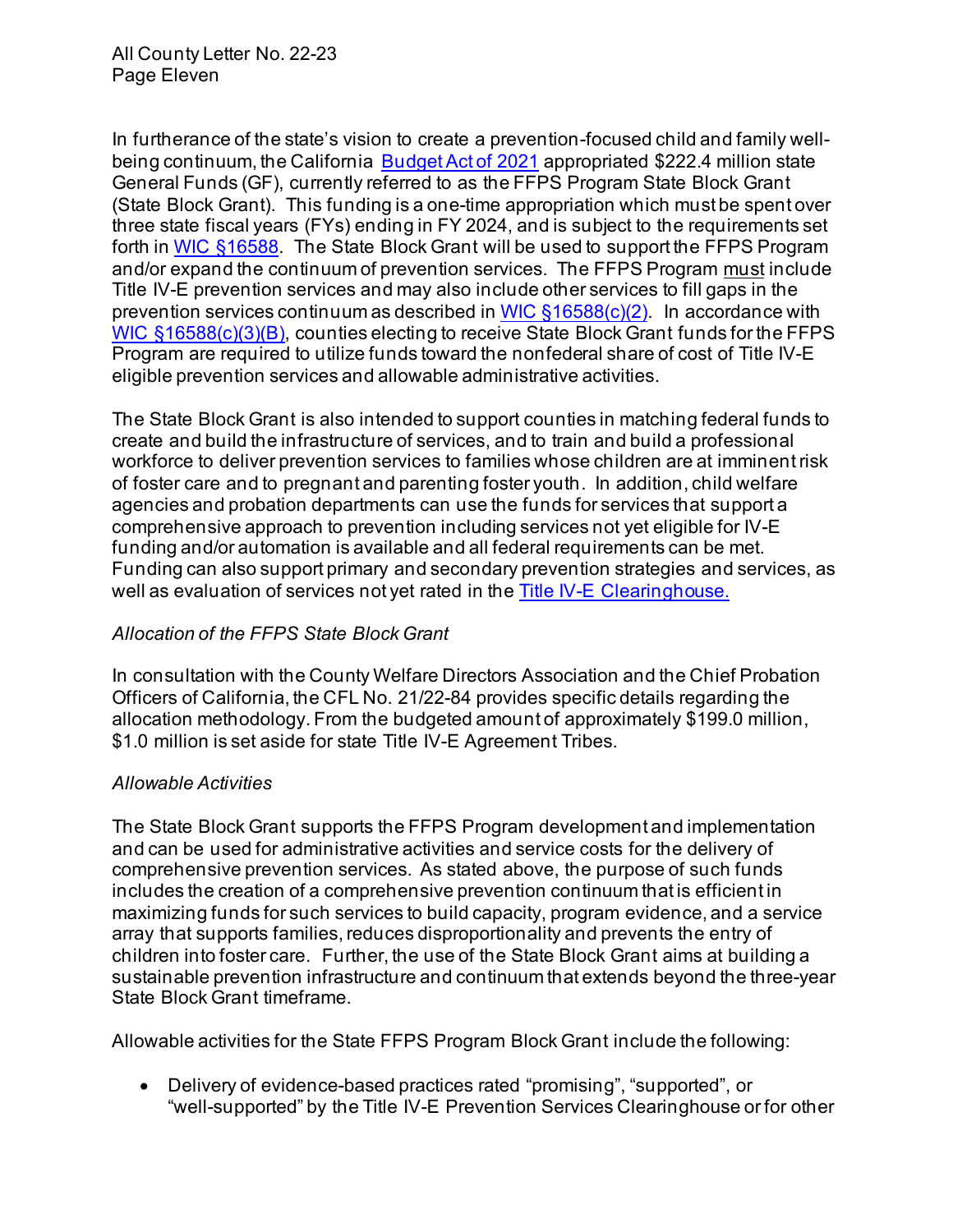In furtherance of the state's vision to create a prevention-focused child and family wellbeing continuum, the California <u>Budget Act of 2021</u> appropriated \$222.4 million state General Funds (GF), currently referred to as the FFPS Program State Block Grant (State Block Grant). This funding is a one-time appropriation which must be spent over three state fiscal years (FYs) ending in FY 2024, and is subject to the requirements set forth in <u>WIC §16588</u>. The State Block Grant will be used to support the FFPS Program <sub>.</sub> and/or expand the continuum of prevention services. The FFPS Program <u>must</u> include Title IV-E prevention services and may also include other services to fill gaps in the prevention services continuum as described in <u>WIC §16588(c)(2)</u>. In accordance with <u>[WIC §16588\(c\)\(3\)\(B\),](https://leginfo.legislature.ca.gov/faces/codes_displaySection.xhtml?lawCode=WIC§ionNum=16588.)</u> counties electing to receive State Block Grant funds for the FFPS\_ Program are required to utilize funds toward the nonfederal share of cost of Title IV-E eligible prevention services and allowable administrative activities.

 The State Block Grant is also intended to support counties in matching federal funds to create and build the infrastructure of services, and to train and build a professional workforce to deliver prevention services to families whose children are at imminent risk of foster care and to pregnant and parenting foster youth. In addition, child welfare agencies and probation departments can use the funds for services that support a comprehensive approach to prevention including services not yet eligible for IV-E funding and/or automation is available and all federal requirements can be met. Funding can also support primary and secondary prevention strategies and services, as well as evaluation of services not yet rated in the <u>Title IV-E Clearinghouse.</u>

#### *Allocation of the FFPS State Block Grant*

 In consultation with the County Welfare Directors Association and the Chief Probation Officers of California, the CFL No. 21/22-84 provides specific details regarding the allocation methodology. From the budgeted amount of approximately \$199.0 million, \$1.0 million is set aside for state Title IV-E Agreement Tribes.

#### *Allowable Activities*

 The State Block Grant supports the FFPS Program development and implementation and can be used for administrative activities and service costs for the delivery of comprehensive prevention services. As stated above, the purpose of such funds includes the creation of a comprehensive prevention continuum that is efficient in maximizing funds for such services to build capacity, program evidence, and a service children into foster care. Further, the use of the State Block Grant aims at building a sustainable prevention infrastructure and continuum that extends beyond the three-year State Block Grant timeframe. array that supports families, reduces disproportionality and prevents the entry of

Allowable activities for the State FFPS Program Block Grant include the following:

 • Delivery of evidence-based practices rated "promising", "supported", or "well-supported" by the [Title IV-E Prevention Services Clearinghouse](https://preventionservices.abtsites.com/program) or for other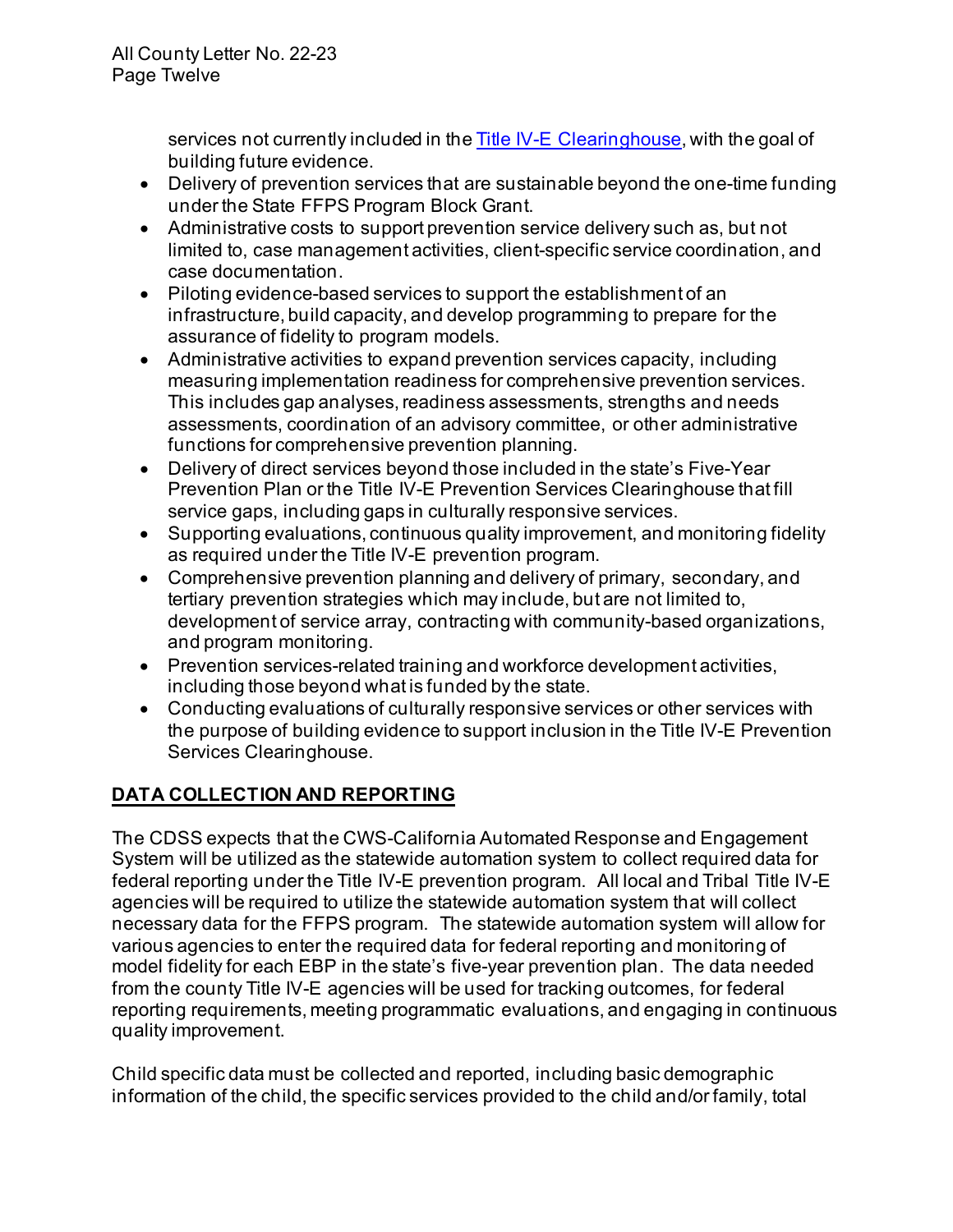services not currently included in the <u>Title IV-E\_Clearinghouse</u>, with the goal of building future evidence.

- • Delivery of prevention services that are sustainable beyond the one-time funding under the State FFPS Program Block Grant.
- • Administrative costs to support prevention service delivery such as, but not case documentation. limited to, case management activities, client-specific service coordination, and
- • Piloting evidence-based services to support the establishment of an infrastructure, build capacity, and develop programming to prepare for the assurance of fidelity to program models.
- • Administrative activities to expand prevention services capacity, including This includes gap analyses, readiness assessments, strengths and needs assessments, coordination of an advisory committee, or other administrative functions for comprehensive prevention planning. measuring implementation readiness for comprehensive prevention services.
- • Delivery of direct services beyond those included in the state's Five-Year Prevention Plan or the Title IV-E Prevention Services Clearinghouse that fill service gaps, including gaps in culturally responsive services.
- • Supporting evaluations, continuous quality improvement, and monitoring fidelity as required under the Title IV-E prevention program.
- tertiary prevention strategies which may include, but are not limited to, development of service array, contracting with community-based organizations, • Comprehensive prevention planning and delivery of primary, secondary, and and program monitoring.
- including those beyond what is funded by the state. • Prevention services-related training and workforce development activities,
- • Conducting evaluations of culturally responsive services or other services with the purpose of building evidence to support inclusion in the Title IV-E Prevention Services Clearinghouse.

# **DATA COLLECTION AND REPORTING**

 The CDSS expects that the CWS-California Automated Response and Engagement federal reporting under the Title IV-E prevention program. All local and Tribal Title IV-E agencies will be required to utilize the statewide automation system that will collect necessary data for the FFPS program. The statewide automation system will allow for various agencies to enter the required data for federal reporting and monitoring of model fidelity for each EBP in the state's five-year prevention plan. The data needed from the county Title IV-E agencies will be used for tracking outcomes, for federal System will be utilized as the statewide automation system to collect required data for reporting requirements, meeting programmatic evaluations, and engaging in continuous quality improvement.

 Child specific data must be collected and reported, including basic demographic information of the child, the specific services provided to the child and/or family, total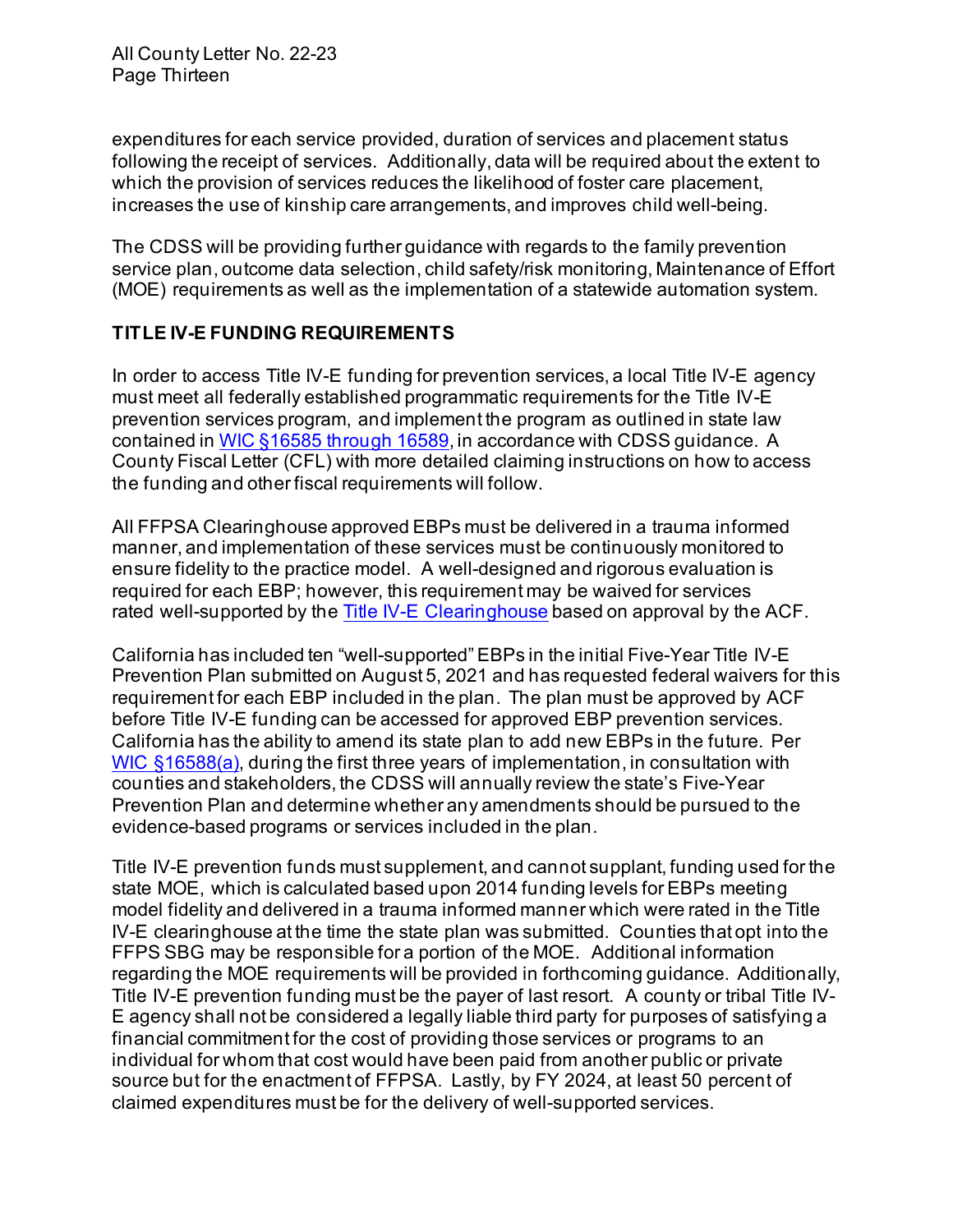expenditures for each service provided, duration of services and placement status following the receipt of services. Additionally, data will be required about the extent to which the provision of services reduces the likelihood of foster care placement, increases the use of kinship care arrangements, and improves child well-being.

 The CDSS will be providing further guidance with regards to the family prevention service plan, outcome data selection, child safety/risk monitoring, Maintenance of Effort (MOE) requirements as well as the implementation of a statewide automation system.

# **TITLE IV-E FUNDING REQUIREMENTS**

 In order to access Title IV-E funding for prevention services, a local Title IV-E agency prevention services program, and implement the program as outlined in state law contained in <u>WIC §16585 through 16589</u>, in accordance with CDSS guidance. A County Fiscal Letter (CFL) with more detailed claiming instructions on how to access the funding and other fiscal requirements will follow. must meet all federally established programmatic requirements for the Title IV-E

 All FFPSA Clearinghouse approved EBPs must be delivered in a trauma informed manner, and implementation of these services must be continuously monitored to ensure fidelity to the practice model. A well-designed and rigorous evaluation is required for each EBP; however, this requirement may be waived for services rated well-supported by the [Title IV-E Clearinghouse](https://www.acf.hhs.gov/opre/project/title-iv-e-prevention-services-clearinghouse-2018-2023) based on approval by the ACF.

 California has included ten "well-supported" EBPs in the initial Five-Year Title IV-E requirement for each EBP included in the plan. The plan must be approved by ACF before Title IV-E funding can be accessed for approved EBP prevention services. California has the ability to amend its state plan to add new EBPs in the future. Per Prevention Plan and determine whether any amendments should be pursued to the evidence-based programs or services included in the plan. Prevention Plan submitted on August 5, 2021 and has requested federal waivers for this [WIC §16588\(a\),](https://leginfo.legislature.ca.gov/faces/codes_displaySection.xhtml?lawCode=WIC§ionNum=16588.) during the first three years of implementation, in consultation with counties and stakeholders, the CDSS will annually review the state's Five-Year

 Title IV-E prevention funds must supplement, and cannot supplant, funding used for the state MOE, which is calculated based upon 2014 funding levels for EBPs meeting model fidelity and delivered in a trauma informed manner which were rated in the Title IV-E clearinghouse at the time the state plan was submitted. Counties that opt into the FFPS SBG may be responsible for a portion of the MOE. Additional information regarding the MOE requirements will be provided in forthcoming guidance. Additionally, Title IV-E prevention funding must be the payer of last resort. A county or tribal Title IV- E agency shall not be considered a legally liable third party for purposes of satisfying a financial commitment for the cost of providing those services or programs to an individual for whom that cost would have been paid from another public or private source but for the enactment of FFPSA. Lastly, by FY 2024, at least 50 percent of claimed expenditures must be for the delivery of well-supported services.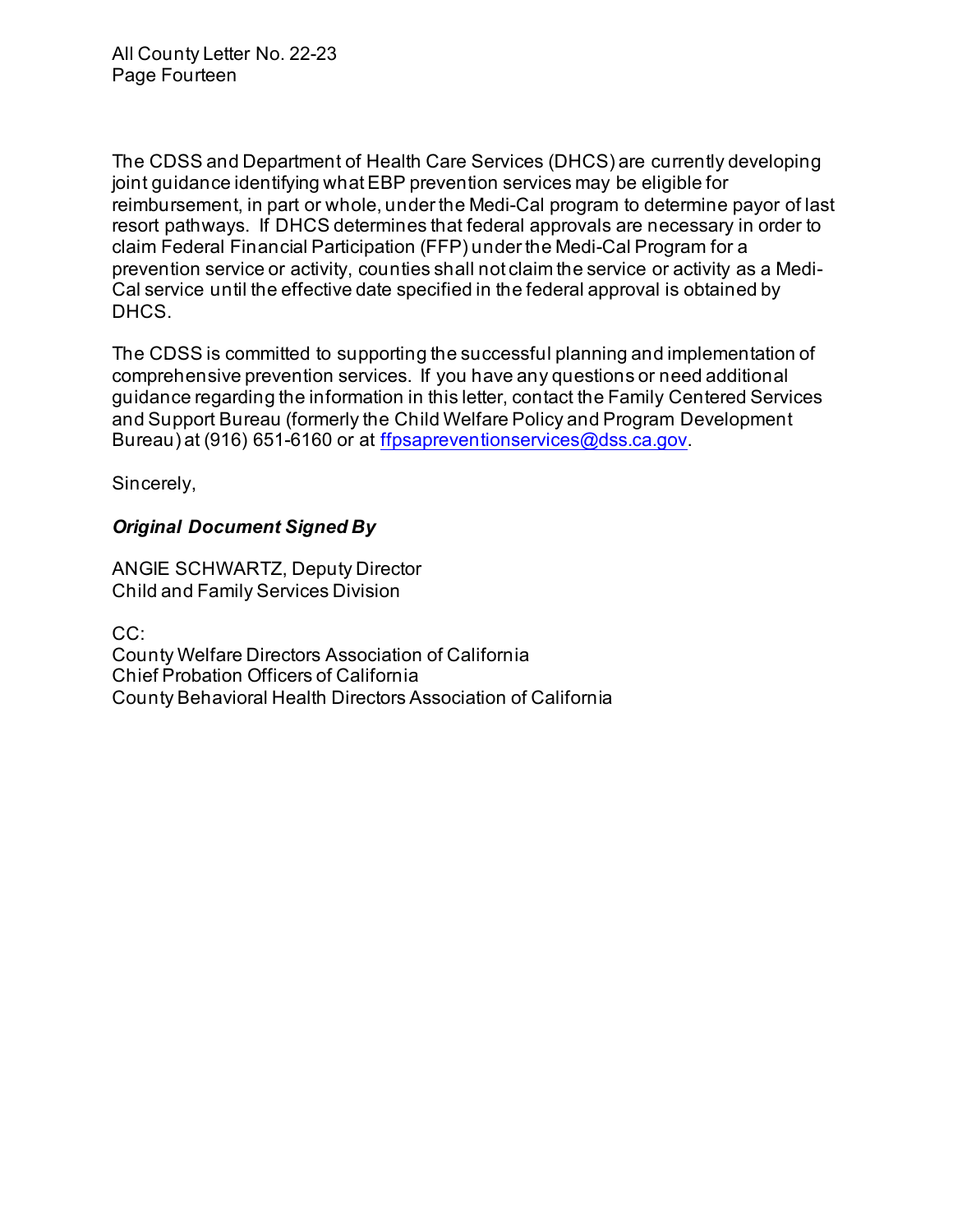The CDSS and Department of Health Care Services (DHCS) are currently developing joint guidance identifying whatEBP prevention services may be eligible for reimbursement, in part or whole, under the Medi-Cal program to determine payor of last resort pathways. If DHCS determines that federal approvals are necessary in order to claim Federal Financial Participation (FFP) under the Medi-Cal Program for a prevention service or activity, counties shall not claim the service or activity as a Medi- Cal service until the effective date specified in the federal approval is obtained by DHCS.

 The CDSS is committed to supporting the successful planning and implementation of comprehensive prevention services. If you have any questions or need additional guidance regarding the information in this letter, contact the Family Centered Services and Support Bureau (formerly the Child Welfare Policy and Program Development Bureau) at (916) 651-6160 or at <u>ffpsapreventionservices@dss.ca.gov</u>.

Sincerely,

# *Original Document Signed By*

 Child and Family Services Division ANGIE SCHWARTZ, Deputy Director

CC:

 County Welfare Directors Association of California Chief Probation Officers of California County Behavioral Health Directors Association of California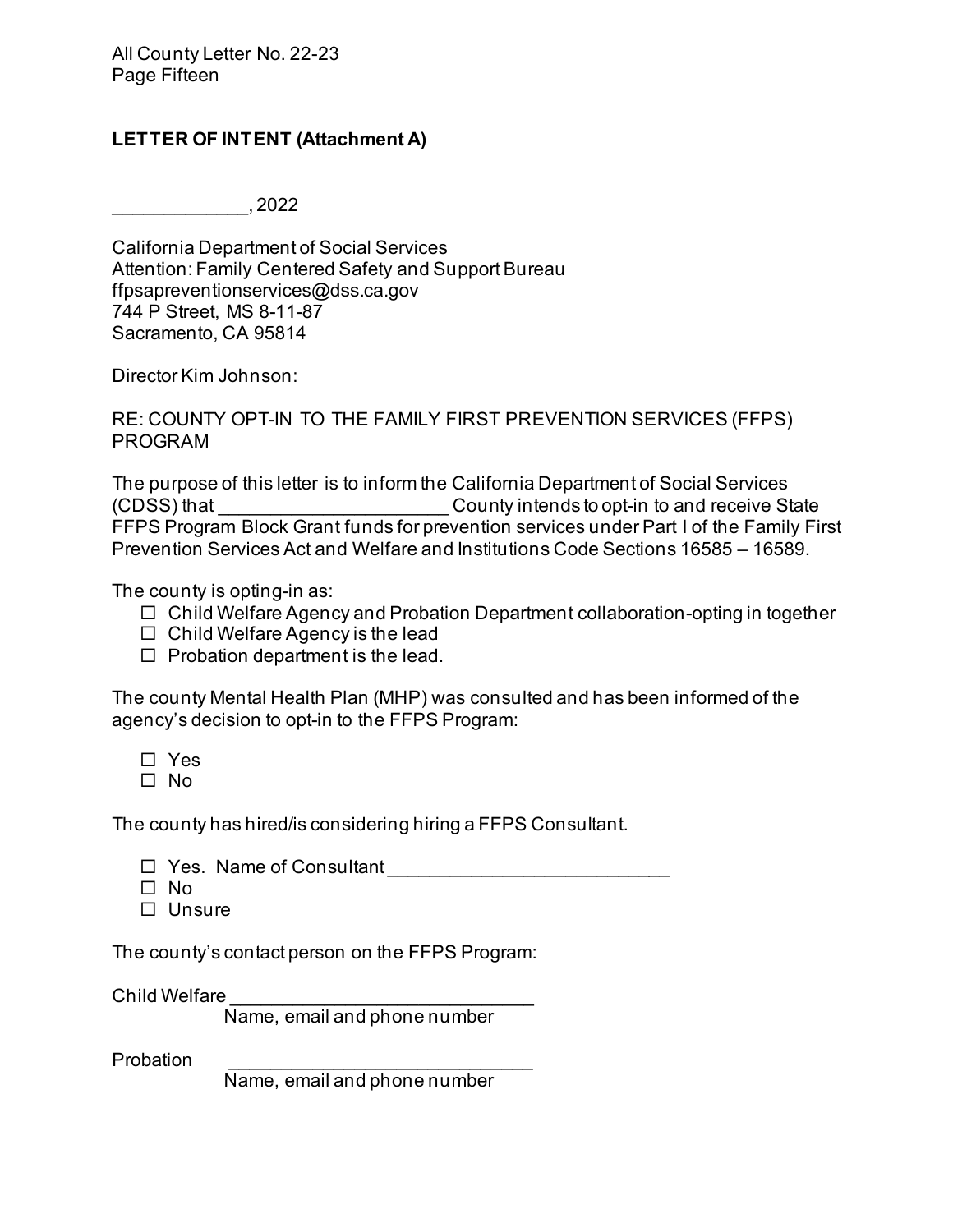#### **LETTER OF INTENT (Attachment A)**

 $\frac{1}{2}$ , 2022

California Department of Social Services    Attention: Family Centered Safety and Support Bureau [ffpsapreventionservices@dss.ca.gov](mailto:ffpsapreventionservices@dss.ca.gov) 744 P Street, MS 8-11-87    Sacramento, CA 95814 

Director Kim Johnson:

RE: COUNTY OPT-IN TO THE FAMILY FIRST PREVENTION SERVICES (FFPS) PROGRAM

 FFPS Program Block Grant funds for prevention services under Part I of the Family First The purpose of this letter is to inform the California Department of Social Services (CDSS) that **COUNTER COUNTY Intends to opt-in to and receive State** Prevention Services Act and Welfare and Institutions Code Sections 16585 – 16589.

The county is opting-in as:

- Child Welfare Agency and Probation Department collaboration-opting in together
- $\Box$  Child Welfare Agency is the lead
- $\Box$  Probation department is the lead.

 The county Mental Health Plan (MHP) was consulted and has been informed of the agency's decision to opt-in to the FFPS Program:

- Yes
- $\square$  No

The county has hired/is considering hiring a FFPS Consultant.

- □ Yes. Name of Consultant \_\_\_\_\_\_\_\_\_\_\_\_\_\_\_\_\_\_\_\_\_\_\_\_\_\_\_\_\_\_
- □ No
- $\Box$  Unsure

The county's contact person on the FFPS Program:

Child Welfare

Name, email and phone number

Probation

Name, email and phone number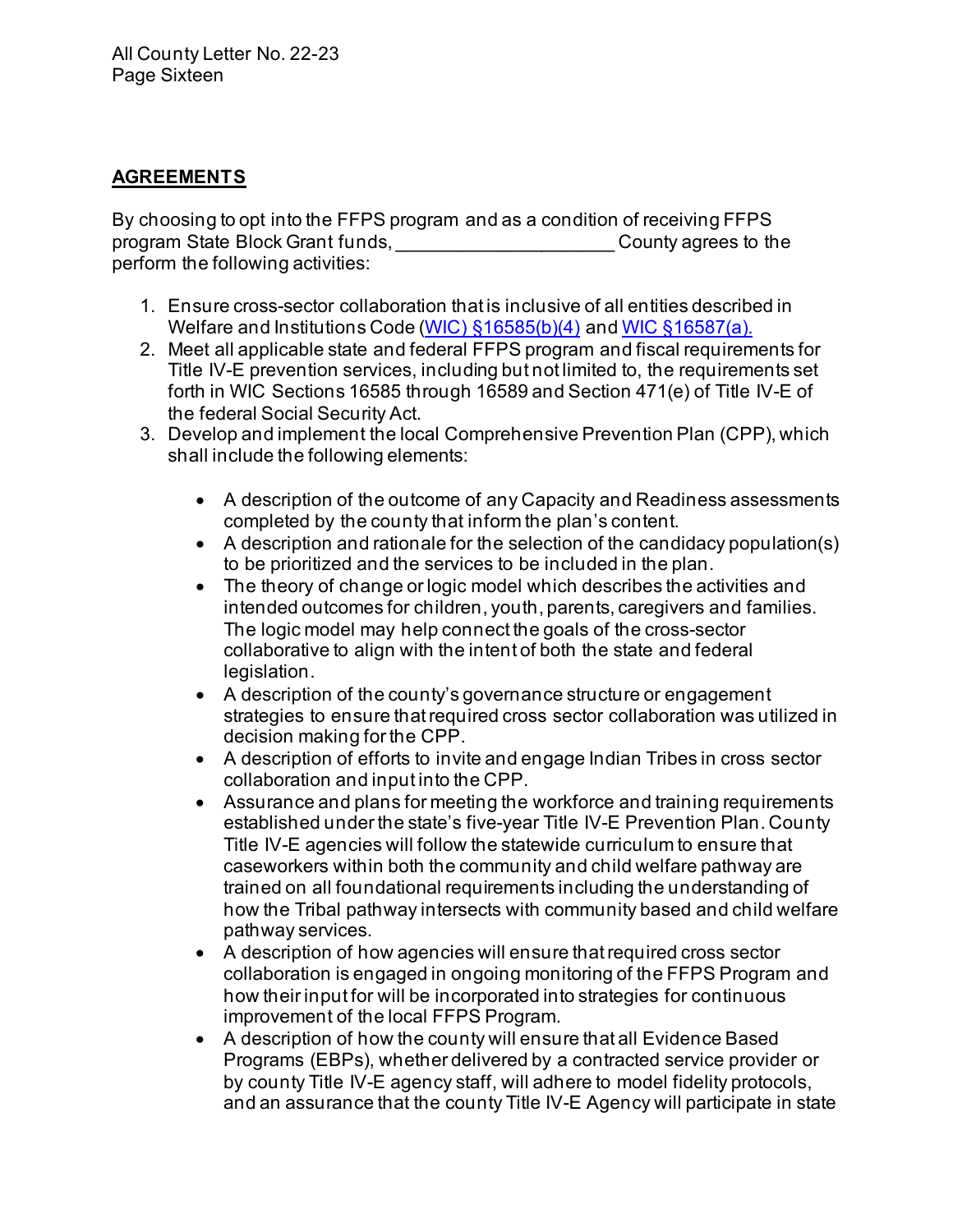## **AGREEMENTS**

 perform the following activities: By choosing to opt into the FFPS program and as a condition of receiving FFPS program State Block Grant funds, \_\_\_\_\_\_\_\_\_\_\_\_\_\_\_\_\_\_\_\_\_ County agrees to the

- 1. Ensure cross-sector collaboration that is inclusive of all entities described in Welfare and Institutions Code (<u>WIC) §16585(b)(4)</u> and <u>WIC §16587(a).</u>
- 2. Meet all applicable state and federal FFPS program and fiscal requirements for Title IV-E prevention services, including but not limited to, the requirements set forth in WIC Sections 16585 through 16589 and Section 471(e) of Title IV-E of the federal Social Security Act.
- shall include the following elements: 3. Develop and implement the local Comprehensive Prevention Plan (CPP), which
	- • A description of the outcome of any Capacity and Readiness assessments completed by the county that inform the plan's content.
	- • A description and rationale for the selection of the candidacy population(s) to be prioritized and the services to be included in the plan.
	- • The theory of change or logic model which describes the activities and intended outcomes for children, youth, parents, caregivers and families. The logic model may help connect the goals of the cross-sector collaborative to align with the intent of both the state and federal legislation.
	- • A description of the county's governance structure or engagement strategies to ensure that required cross sector collaboration was utilized in decision making for the CPP.
	- • A description of efforts to invite and engage Indian Tribes in cross sector collaboration and input into the CPP.
	- • Assurance and plans for meeting the workforce and training requirements established under the state's five-year Title IV-E Prevention Plan. County Title IV-E agencies will follow the statewide curriculum to ensure that caseworkers within both the community and child welfare pathway are trained on all foundational requirements including the understanding of how the Tribal pathway intersects with community based and child welfare pathway services.
	- • A description of how agencies will ensure that required cross sector collaboration is engaged in ongoing monitoring of the FFPS Program and how their input for will be incorporated into strategies for continuous improvement of the local FFPS Program.
	- • A description of how the county will ensure that all Evidence Based Programs (EBPs), whether delivered by a contracted service provider or by county Title IV-E agency staff, will adhere to model fidelity protocols, and an assurance that the county Title IV-E Agency will participate in state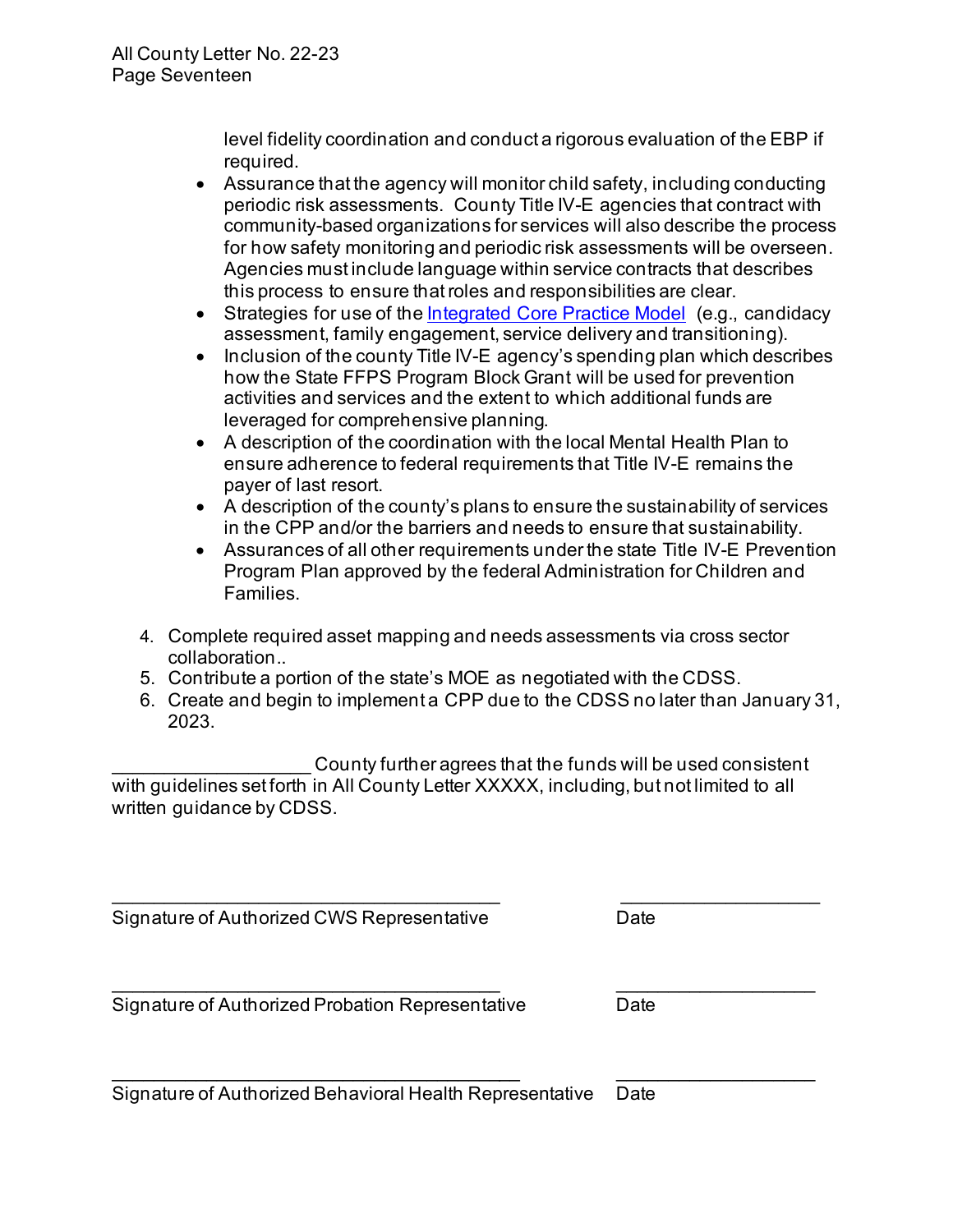level fidelity coordination and conduct a rigorous evaluation of the EBP if required.

- • Assurance that the agency will monitor child safety, including conducting periodic risk assessments. County Title IV-E agencies that contract with community-based organizations for services will also describe the process for how safety monitoring and periodic risk assessments will be overseen. Agencies must include language within service contracts that describes this process to ensure that roles and responsibilities are clear.
- Strategies for use of th[e Integrated Core Practice Model](https://www.cdss.ca.gov/inforesources/the-integrated-core-practice-model/about-icpm) (e.g., candidacy assessment, family engagement, service delivery and transitioning).
- • Inclusion of the county Title IV-E agency's spending plan which describes how the State FFPS Program Block Grant will be used for prevention activities and services and the extent to which additional funds are leveraged for comprehensive planning.
- • A description of the coordination with the local Mental Health Plan to ensure adherence to federal requirements that Title IV-E remains the payer of last resort.
- • A description of the county's plans to ensure the sustainability of services in the CPP and/or the barriers and needs to ensure that sustainability.
- • Assurances of all other requirements under the state Title IV-E Prevention Program Plan approved by the federal Administration for Children and Families.
- 4. Complete required asset mapping and needs assessments via cross sector collaboration..
- 5. Contribute a portion of the state's MOE as negotiated with the CDSS.
- 6. Create and begin to implement a CPP due to the CDSS no later than January 31, 2023.

\_\_\_\_\_\_\_\_\_\_\_\_\_\_\_ County further agrees that the funds will be used consistent with guidelines set forth in All County Letter XXXXX, including, but not limited to all  $\overline{\phantom{a}}$ written guidance by CDSS.

\_\_\_\_\_\_\_\_\_\_\_\_\_\_\_\_\_\_\_\_\_\_\_\_\_\_\_\_\_\_\_\_\_\_\_\_\_ \_\_\_\_\_\_\_\_\_\_\_\_\_\_\_\_\_\_\_

Signature of Authorized CWS Representative  Date 

 Signature of Authorized Probation Representative  Date   $\overline{\phantom{a}}$  , and the contribution of the contribution of the contribution of the contribution of the contribution of the contribution of the contribution of the contribution of the contribution of the contribution of the

 Signature of Authorized Behavioral Health Representative  Date  $\overline{\phantom{a}}$  , and the contribution of the contribution of the contribution of the contribution of the contribution of the contribution of the contribution of the contribution of the contribution of the contribution of the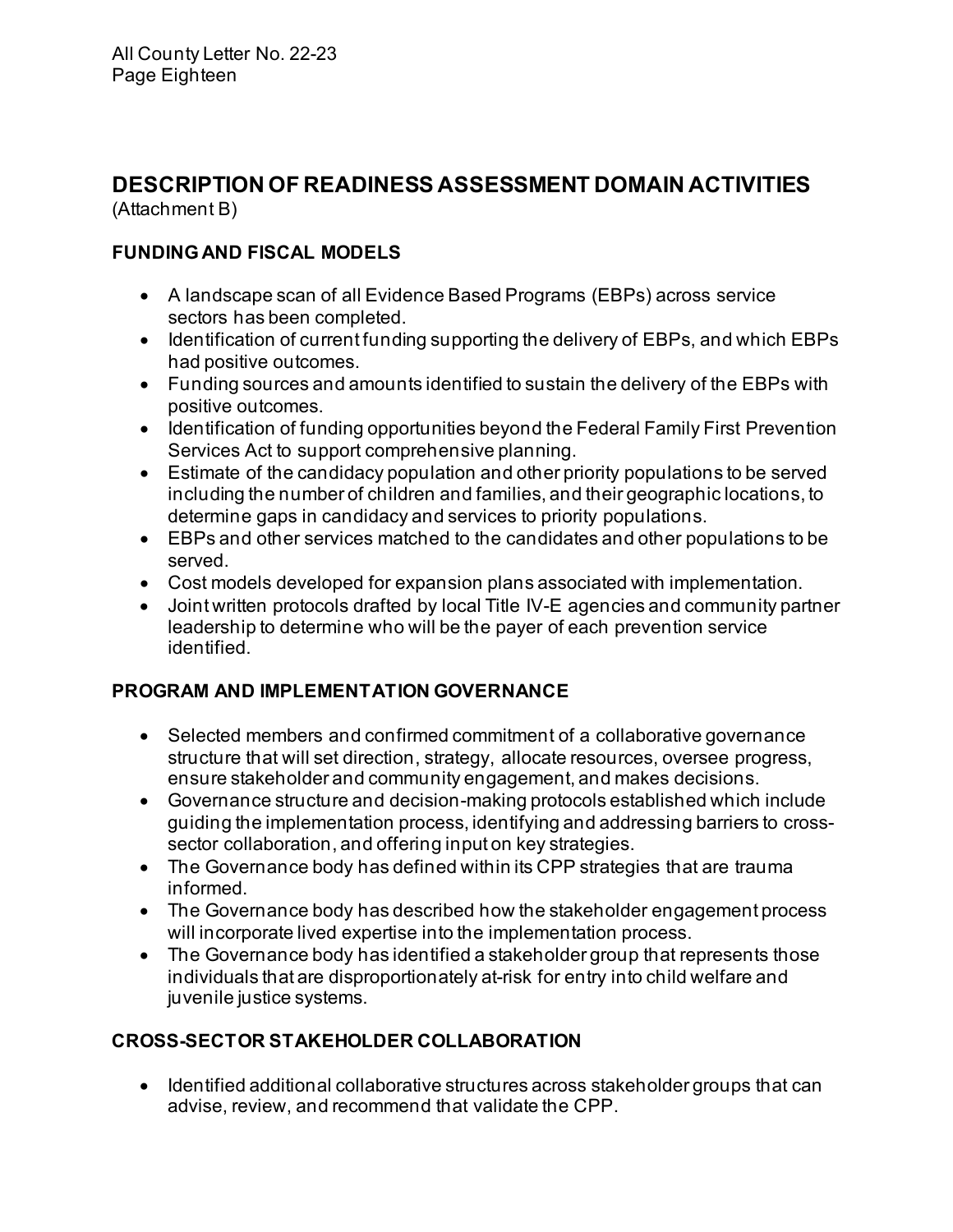# **DESCRIPTION OF READINESS ASSESSMENT DOMAIN ACTIVITIES**

(Attachment B)

# **FUNDING AND FISCAL MODELS**

- • A landscape scan of all Evidence Based Programs (EBPs) across service sectors has been completed.
- • Identification of current funding supporting the delivery of EBPs, and which EBPs had positive outcomes.
- • Funding sources and amounts identified to sustain the delivery of the EBPs with positive outcomes.
- • Identification of funding opportunities beyond the Federal Family First Prevention Services Act to support comprehensive planning.
- • Estimate of the candidacy population and other priority populations to be served including the number of children and families, and their geographic locations, to determine gaps in candidacy and services to priority populations.
- • EBPs and other services matched to the candidates and other populations to be served.
- Cost models developed for expansion plans associated with implementation.
- • Joint written protocols drafted by local Title IV-E agencies and community partner leadership to determine who will be the payer of each prevention service identified.

# **PROGRAM AND IMPLEMENTATION GOVERNANCE**

- • Selected members and confirmed commitment of a collaborative governance structure that will set direction, strategy, allocate resources, oversee progress, ensure stakeholder and community engagement, and makes decisions.
- sector collaboration, and offering input on key strategies. • Governance structure and decision-making protocols established which include guiding the implementation process, identifying and addressing barriers to cross-
- • The Governance body has defined within its CPP strategies that are trauma informed.
- • The Governance body has described how the stakeholder engagement process will incorporate lived expertise into the implementation process.
- • The Governance body has identified a stakeholder group that represents those individuals that are disproportionately at-risk for entry into child welfare and juvenile justice systems.

# **CROSS-SECTOR STAKEHOLDER COLLABORATION**

 • Identified additional collaborative structures across stakeholder groups that can advise, review, and recommend that validate the CPP.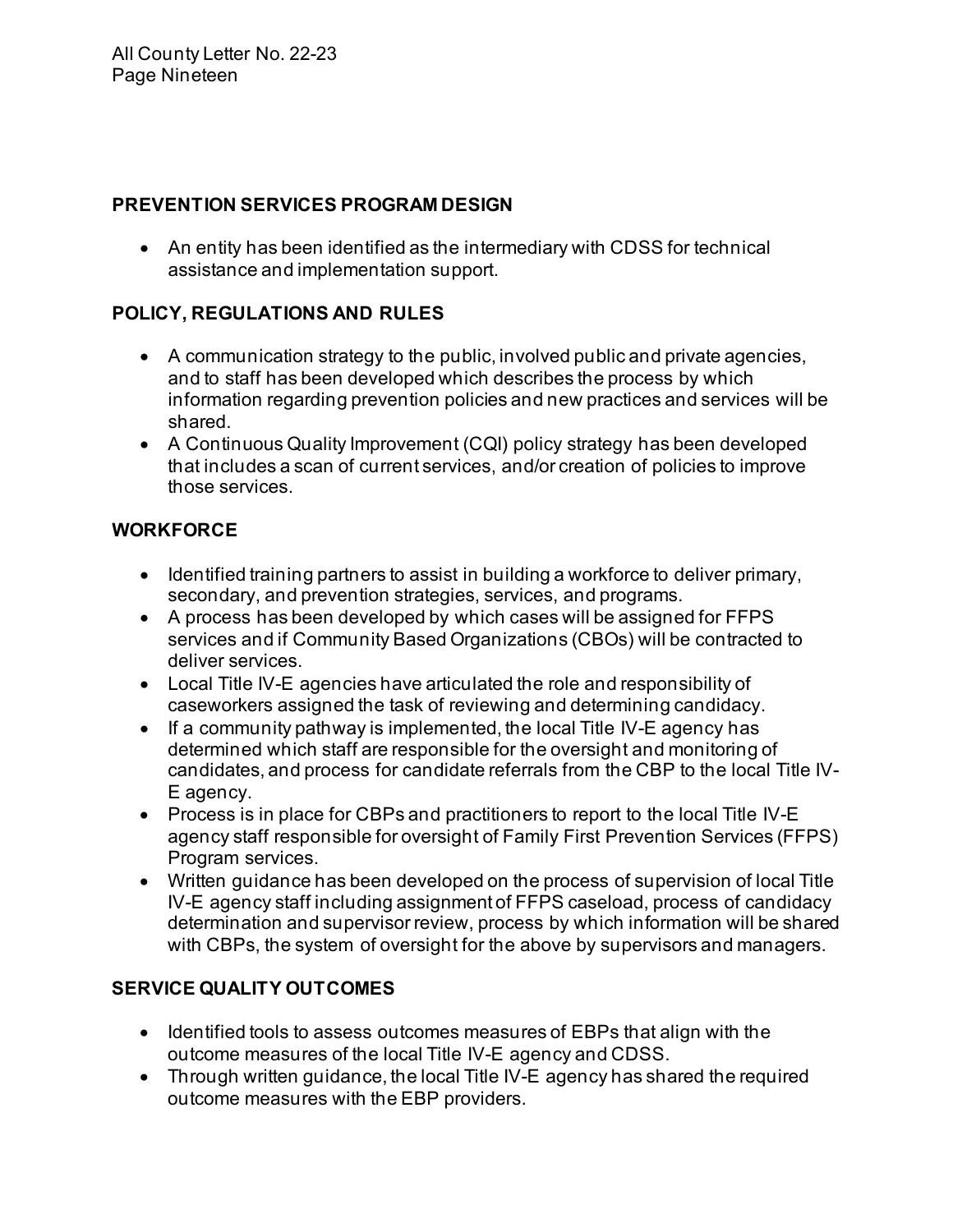#### **PREVENTION SERVICES PROGRAM DESIGN**

 • An entity has been identified as the intermediary with CDSS for technical assistance and implementation support.

# **POLICY, REGULATIONS AND RULES**

- and to staff has been developed which describes the process by which information regarding prevention policies and new practices and services will be • A communication strategy to the public, involved public and private agencies, shared.
- • A Continuous Quality Improvement (CQI) policy strategy has been developed that includes a scan of current services, and/or creation of policies to improve those services.

# **WORKFORCE**

- • Identified training partners to assist in building a workforce to deliver primary, secondary, and prevention strategies, services, and programs.
- • A process has been developed by which cases will be assigned for FFPS services and if Community Based Organizations (CBOs) will be contracted to deliver services.
- • Local Title IV-E agencies have articulated the role and responsibility of caseworkers assigned the task of reviewing and determining candidacy.
- • If a community pathway is implemented, the local Title IV-E agency has candidates, and process for candidate referrals from the CBP to the local Title IVdetermined which staff are responsible for the oversight and monitoring of E agency.
- • Process is in place for CBPs and practitioners to report to the local Title IV-E agency staff responsible for oversight of Family First Prevention Services (FFPS) Program services.
- • Written guidance has been developed on the process of supervision of local Title IV-E agency staff including assignment of FFPS caseload, process of candidacy determination and supervisor review, process by which information will be shared with CBPs, the system of oversight for the above by supervisors and managers.

# **SERVICE QUALITY OUTCOMES**

- • Identified tools to assess outcomes measures of EBPs that align with the outcome measures of the local Title IV-E agency and CDSS.
- • Through written guidance, the local Title IV-E agency has shared the required outcome measures with the EBP providers.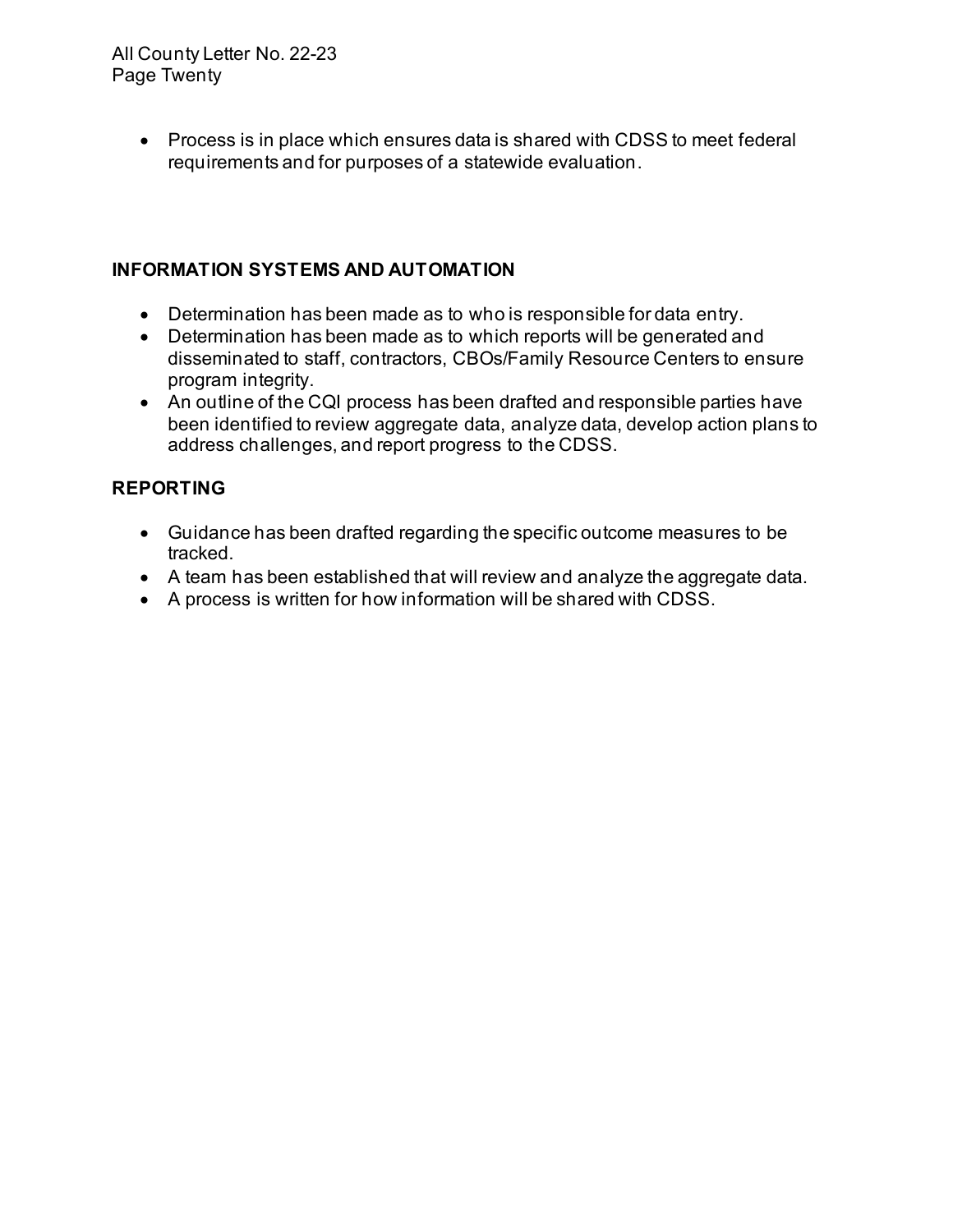• Process is in place which ensures data is shared with CDSS to meet federal requirements and for purposes of a statewide evaluation.

## **INFORMATION SYSTEMS AND AUTOMATION**

- Determination has been made as to who is responsible for data entry.
- • Determination has been made as to which reports will be generated and disseminated to staff, contractors, CBOs/Family Resource Centers to ensure program integrity.
- • An outline of the CQI process has been drafted and responsible parties have been identified to review aggregate data, analyze data, develop action plans to address challenges, and report progress to the CDSS.

# **REPORTING**

- • Guidance has been drafted regarding the specific outcome measures to be tracked.
- A team has been established that will review and analyze the aggregate data.
- A process is written for how information will be shared with CDSS.